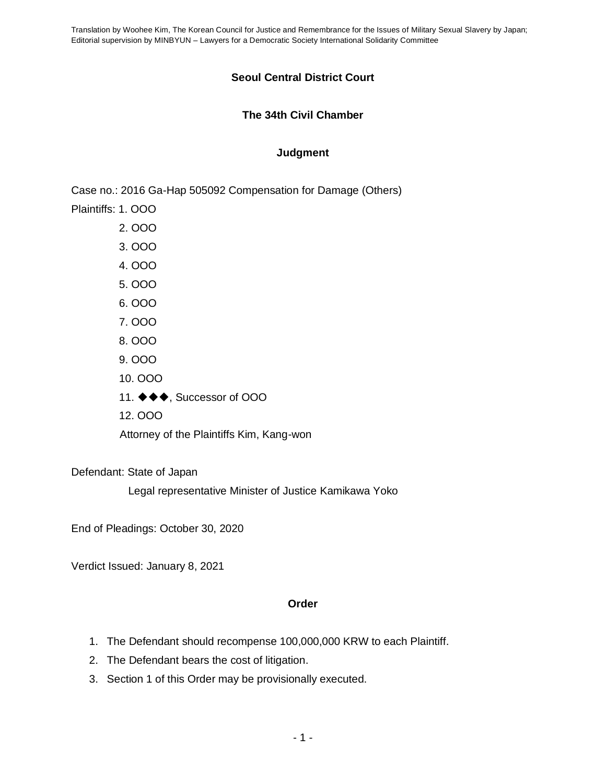Translation by Woohee Kim, The Korean Council for Justice and Remembrance for the Issues of Military Sexual Slavery by Japan; Editorial supervision by MINBYUN – Lawyers for a Democratic Society International Solidarity Committee

### **Seoul Central District Court**

### **The 34th Civil Chamber**

### **Judgment**

Case no.: 2016 Ga-Hap 505092 Compensation for Damage (Others)

Plaintiffs: 1. OOO

- 2. OOO
- 3. OOO
- 4. OOO
- 5. OOO
- 6. OOO
- 7. OOO
- 8. OOO
- 9. OOO
- 10. OOO
- 11. ◆◆◆, Successor of OOO
- 12. OOO

Attorney of the Plaintiffs Kim, Kang-won

Defendant: State of Japan

Legal representative Minister of Justice Kamikawa Yoko

End of Pleadings: October 30, 2020

Verdict Issued: January 8, 2021

#### **Order**

- 1. The Defendant should recompense 100,000,000 KRW to each Plaintiff.
- 2. The Defendant bears the cost of litigation.
- 3. Section 1 of this Order may be provisionally executed.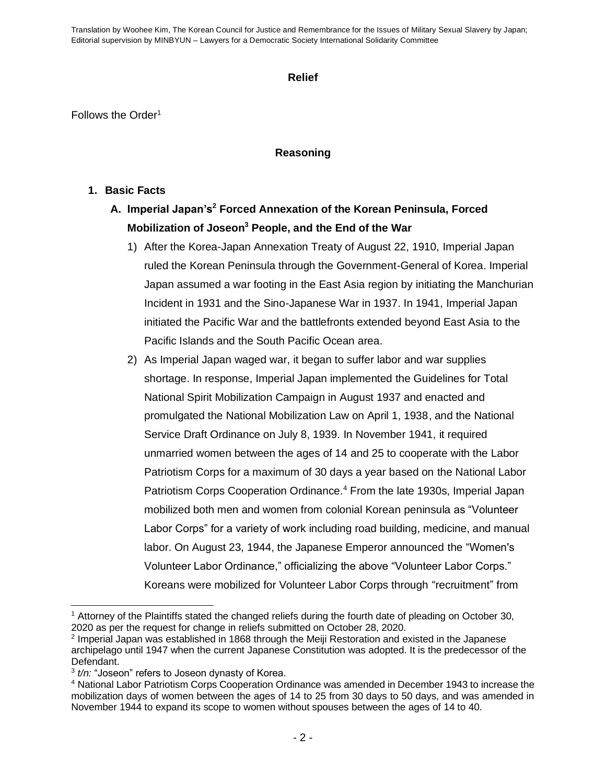Translation by Woohee Kim, The Korean Council for Justice and Remembrance for the Issues of Military Sexual Slavery by Japan; Editorial supervision by MINBYUN – Lawyers for a Democratic Society International Solidarity Committee

#### **Relief**

Follows the Order<sup>1</sup>

#### **Reasoning**

#### **1. Basic Facts**

# **A. Imperial Japan's<sup>2</sup> Forced Annexation of the Korean Peninsula, Forced Mobilization of Joseon<sup>3</sup> People, and the End of the War**

- 1) After the Korea-Japan Annexation Treaty of August 22, 1910, Imperial Japan ruled the Korean Peninsula through the Government-General of Korea. Imperial Japan assumed a war footing in the East Asia region by initiating the Manchurian Incident in 1931 and the Sino-Japanese War in 1937. In 1941, Imperial Japan initiated the Pacific War and the battlefronts extended beyond East Asia to the Pacific Islands and the South Pacific Ocean area.
- 2) As Imperial Japan waged war, it began to suffer labor and war supplies shortage. In response, Imperial Japan implemented the Guidelines for Total National Spirit Mobilization Campaign in August 1937 and enacted and promulgated the National Mobilization Law on April 1, 1938, and the National Service Draft Ordinance on July 8, 1939. In November 1941, it required unmarried women between the ages of 14 and 25 to cooperate with the Labor Patriotism Corps for a maximum of 30 days a year based on the National Labor Patriotism Corps Cooperation Ordinance.<sup>4</sup> From the late 1930s, Imperial Japan mobilized both men and women from colonial Korean peninsula as "Volunteer Labor Corps" for a variety of work including road building, medicine, and manual labor. On August 23, 1944, the Japanese Emperor announced the "Women's Volunteer Labor Ordinance," officializing the above "Volunteer Labor Corps." Koreans were mobilized for Volunteer Labor Corps through "recruitment" from

<sup>1</sup> Attorney of the Plaintiffs stated the changed reliefs during the fourth date of pleading on October 30, 2020 as per the request for change in reliefs submitted on October 28, 2020.

<sup>&</sup>lt;sup>2</sup> Imperial Japan was established in 1868 through the Meiji Restoration and existed in the Japanese archipelago until 1947 when the current Japanese Constitution was adopted. It is the predecessor of the Defendant.

<sup>3</sup> *t/n:* "Joseon" refers to Joseon dynasty of Korea.

<sup>4</sup> National Labor Patriotism Corps Cooperation Ordinance was amended in December 1943 to increase the mobilization days of women between the ages of 14 to 25 from 30 days to 50 days, and was amended in November 1944 to expand its scope to women without spouses between the ages of 14 to 40.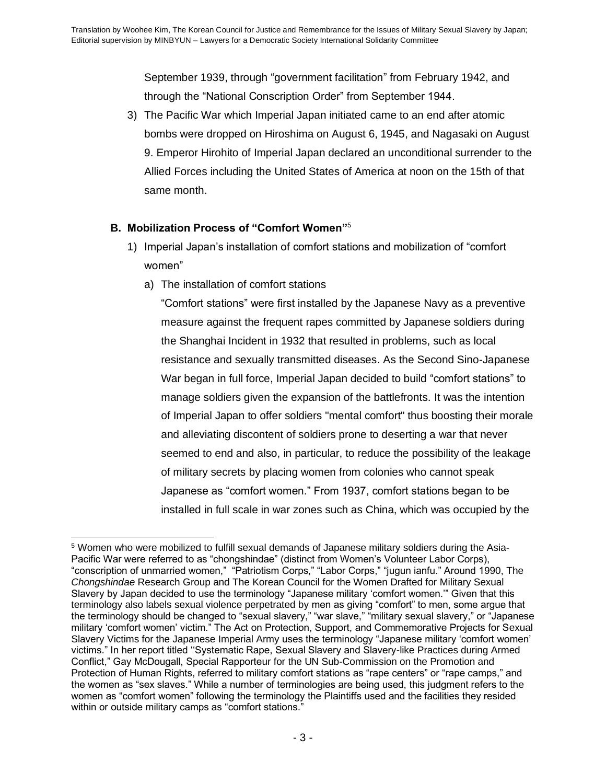September 1939, through "government facilitation" from February 1942, and through the "National Conscription Order" from September 1944.

3) The Pacific War which Imperial Japan initiated came to an end after atomic bombs were dropped on Hiroshima on August 6, 1945, and Nagasaki on August 9. Emperor Hirohito of Imperial Japan declared an unconditional surrender to the Allied Forces including the United States of America at noon on the 15th of that same month.

## **B. Mobilization Process of "Comfort Women"**<sup>5</sup>

- 1) Imperial Japan's installation of comfort stations and mobilization of "comfort women"
	- a) The installation of comfort stations

"Comfort stations" were first installed by the Japanese Navy as a preventive measure against the frequent rapes committed by Japanese soldiers during the Shanghai Incident in 1932 that resulted in problems, such as local resistance and sexually transmitted diseases. As the Second Sino-Japanese War began in full force, Imperial Japan decided to build "comfort stations" to manage soldiers given the expansion of the battlefronts. It was the intention of Imperial Japan to offer soldiers "mental comfort" thus boosting their morale and alleviating discontent of soldiers prone to deserting a war that never seemed to end and also, in particular, to reduce the possibility of the leakage of military secrets by placing women from colonies who cannot speak Japanese as "comfort women." From 1937, comfort stations began to be installed in full scale in war zones such as China, which was occupied by the

<sup>5</sup> Women who were mobilized to fulfill sexual demands of Japanese military soldiers during the Asia-Pacific War were referred to as "chongshindae" (distinct from Women's Volunteer Labor Corps), "conscription of unmarried women," "Patriotism Corps," "Labor Corps," "jugun ianfu." Around 1990, The *Chongshindae* Research Group and The Korean Council for the Women Drafted for Military Sexual Slavery by Japan decided to use the terminology "Japanese military 'comfort women.'" Given that this terminology also labels sexual violence perpetrated by men as giving "comfort" to men, some argue that the terminology should be changed to "sexual slavery," "war slave," "military sexual slavery," or "Japanese military 'comfort women' victim." The Act on Protection, Support, and Commemorative Projects for Sexual Slavery Victims for the Japanese Imperial Army uses the terminology "Japanese military 'comfort women' victims." In her report titled ''Systematic Rape, Sexual Slavery and Slavery-like Practices during Armed Conflict," Gay McDougall, Special Rapporteur for the UN Sub-Commission on the Promotion and Protection of Human Rights, referred to military comfort stations as "rape centers" or "rape camps," and the women as "sex slaves." While a number of terminologies are being used, this judgment refers to the women as "comfort women" following the terminology the Plaintiffs used and the facilities they resided within or outside military camps as "comfort stations."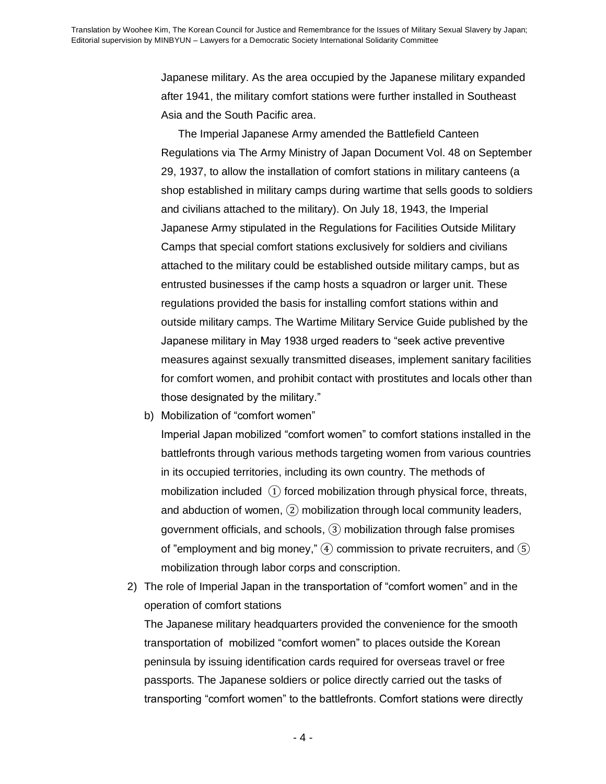Japanese military. As the area occupied by the Japanese military expanded after 1941, the military comfort stations were further installed in Southeast Asia and the South Pacific area.

The Imperial Japanese Army amended the Battlefield Canteen Regulations via The Army Ministry of Japan Document Vol. 48 on September 29, 1937, to allow the installation of comfort stations in military canteens (a shop established in military camps during wartime that sells goods to soldiers and civilians attached to the military). On July 18, 1943, the Imperial Japanese Army stipulated in the Regulations for Facilities Outside Military Camps that special comfort stations exclusively for soldiers and civilians attached to the military could be established outside military camps, but as entrusted businesses if the camp hosts a squadron or larger unit. These regulations provided the basis for installing comfort stations within and outside military camps. The Wartime Military Service Guide published by the Japanese military in May 1938 urged readers to "seek active preventive measures against sexually transmitted diseases, implement sanitary facilities for comfort women, and prohibit contact with prostitutes and locals other than those designated by the military."

b) Mobilization of "comfort women"

Imperial Japan mobilized "comfort women" to comfort stations installed in the battlefronts through various methods targeting women from various countries in its occupied territories, including its own country. The methods of mobilization included  $(1)$  forced mobilization through physical force, threats, and abduction of women,  $(2)$  mobilization through local community leaders, government officials, and schools,  $(3)$  mobilization through false promises of "employment and big money,"  $\left(4\right)$  commission to private recruiters, and  $\left(5\right)$ mobilization through labor corps and conscription.

2) The role of Imperial Japan in the transportation of "comfort women" and in the operation of comfort stations

The Japanese military headquarters provided the convenience for the smooth transportation of mobilized "comfort women" to places outside the Korean peninsula by issuing identification cards required for overseas travel or free passports. The Japanese soldiers or police directly carried out the tasks of transporting "comfort women" to the battlefronts. Comfort stations were directly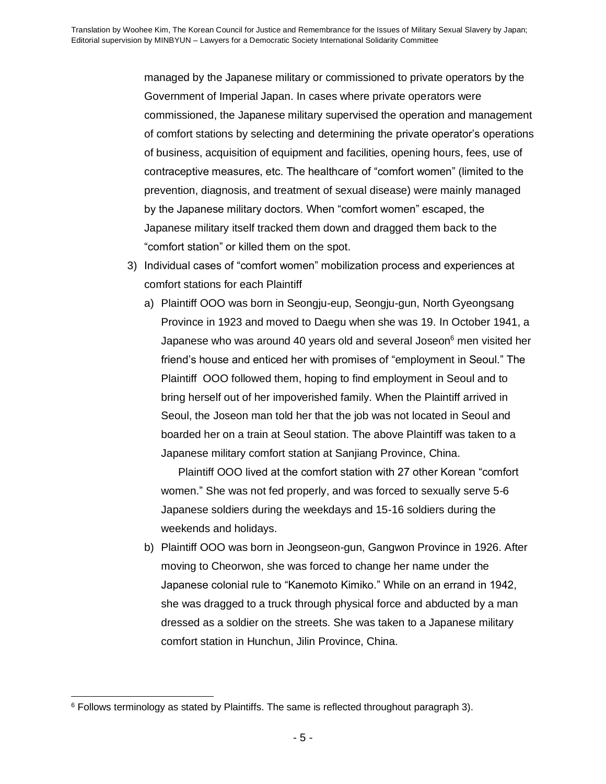managed by the Japanese military or commissioned to private operators by the Government of Imperial Japan. In cases where private operators were commissioned, the Japanese military supervised the operation and management of comfort stations by selecting and determining the private operator's operations of business, acquisition of equipment and facilities, opening hours, fees, use of contraceptive measures, etc. The healthcare of "comfort women" (limited to the prevention, diagnosis, and treatment of sexual disease) were mainly managed by the Japanese military doctors. When "comfort women" escaped, the Japanese military itself tracked them down and dragged them back to the "comfort station" or killed them on the spot.

- 3) Individual cases of "comfort women" mobilization process and experiences at comfort stations for each Plaintiff
	- a) Plaintiff OOO was born in Seongju-eup, Seongju-gun, North Gyeongsang Province in 1923 and moved to Daegu when she was 19. In October 1941, a Japanese who was around 40 years old and several Joseon<sup>6</sup> men visited her friend's house and enticed her with promises of "employment in Seoul." The Plaintiff OOO followed them, hoping to find employment in Seoul and to bring herself out of her impoverished family. When the Plaintiff arrived in Seoul, the Joseon man told her that the job was not located in Seoul and boarded her on a train at Seoul station. The above Plaintiff was taken to a Japanese military comfort station at Sanjiang Province, China.

Plaintiff OOO lived at the comfort station with 27 other Korean "comfort women." She was not fed properly, and was forced to sexually serve 5-6 Japanese soldiers during the weekdays and 15-16 soldiers during the weekends and holidays.

b) Plaintiff OOO was born in Jeongseon-gun, Gangwon Province in 1926. After moving to Cheorwon, she was forced to change her name under the Japanese colonial rule to "Kanemoto Kimiko." While on an errand in 1942, she was dragged to a truck through physical force and abducted by a man dressed as a soldier on the streets. She was taken to a Japanese military comfort station in Hunchun, Jilin Province, China.

 $6$  Follows terminology as stated by Plaintiffs. The same is reflected throughout paragraph 3).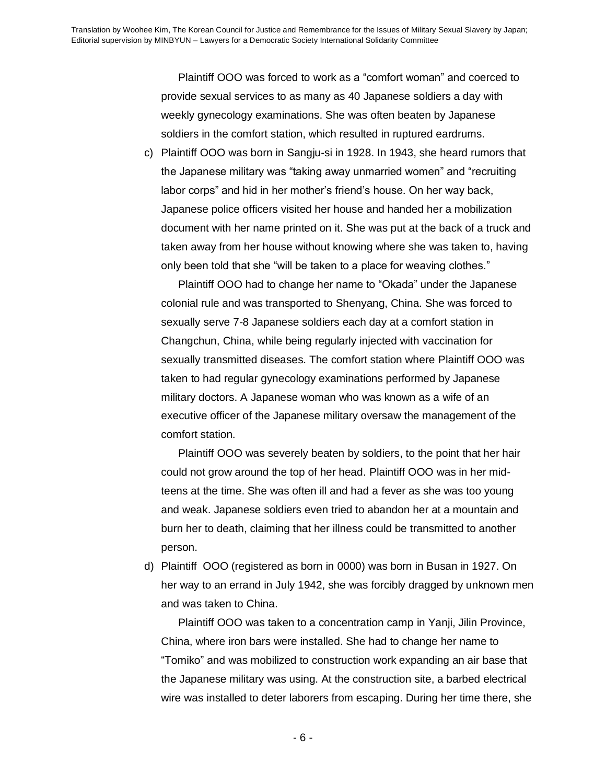Plaintiff OOO was forced to work as a "comfort woman" and coerced to provide sexual services to as many as 40 Japanese soldiers a day with weekly gynecology examinations. She was often beaten by Japanese soldiers in the comfort station, which resulted in ruptured eardrums.

c) Plaintiff OOO was born in Sangju-si in 1928. In 1943, she heard rumors that the Japanese military was "taking away unmarried women" and "recruiting labor corps" and hid in her mother's friend's house. On her way back, Japanese police officers visited her house and handed her a mobilization document with her name printed on it. She was put at the back of a truck and taken away from her house without knowing where she was taken to, having only been told that she "will be taken to a place for weaving clothes."

Plaintiff OOO had to change her name to "Okada" under the Japanese colonial rule and was transported to Shenyang, China. She was forced to sexually serve 7-8 Japanese soldiers each day at a comfort station in Changchun, China, while being regularly injected with vaccination for sexually transmitted diseases. The comfort station where Plaintiff OOO was taken to had regular gynecology examinations performed by Japanese military doctors. A Japanese woman who was known as a wife of an executive officer of the Japanese military oversaw the management of the comfort station.

Plaintiff OOO was severely beaten by soldiers, to the point that her hair could not grow around the top of her head. Plaintiff OOO was in her midteens at the time. She was often ill and had a fever as she was too young and weak. Japanese soldiers even tried to abandon her at a mountain and burn her to death, claiming that her illness could be transmitted to another person.

d) Plaintiff OOO (registered as born in 0000) was born in Busan in 1927. On her way to an errand in July 1942, she was forcibly dragged by unknown men and was taken to China.

Plaintiff OOO was taken to a concentration camp in Yanji, Jilin Province, China, where iron bars were installed. She had to change her name to "Tomiko" and was mobilized to construction work expanding an air base that the Japanese military was using. At the construction site, a barbed electrical wire was installed to deter laborers from escaping. During her time there, she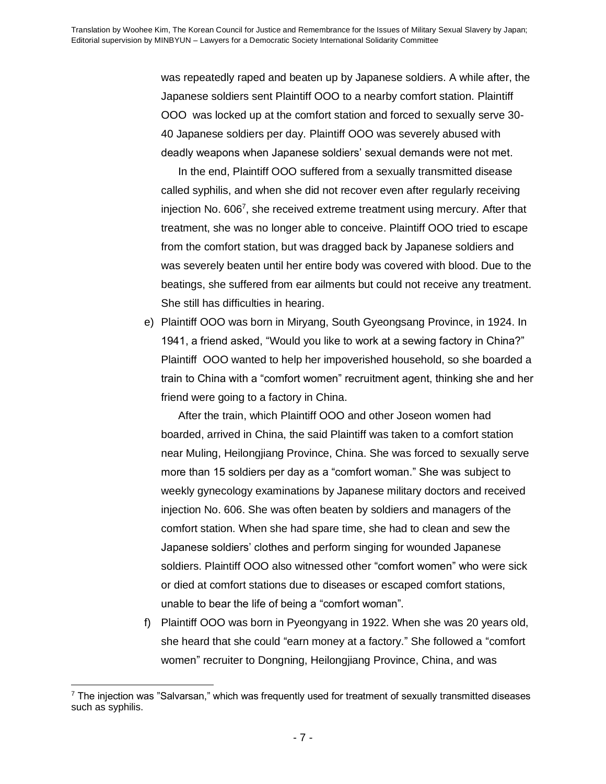was repeatedly raped and beaten up by Japanese soldiers. A while after, the Japanese soldiers sent Plaintiff OOO to a nearby comfort station. Plaintiff OOO was locked up at the comfort station and forced to sexually serve 30- 40 Japanese soldiers per day. Plaintiff OOO was severely abused with deadly weapons when Japanese soldiers' sexual demands were not met.

In the end, Plaintiff OOO suffered from a sexually transmitted disease called syphilis, and when she did not recover even after regularly receiving injection No. 606<sup>7</sup>, she received extreme treatment using mercury. After that treatment, she was no longer able to conceive. Plaintiff OOO tried to escape from the comfort station, but was dragged back by Japanese soldiers and was severely beaten until her entire body was covered with blood. Due to the beatings, she suffered from ear ailments but could not receive any treatment. She still has difficulties in hearing.

e) Plaintiff OOO was born in Miryang, South Gyeongsang Province, in 1924. In 1941, a friend asked, "Would you like to work at a sewing factory in China?" Plaintiff OOO wanted to help her impoverished household, so she boarded a train to China with a "comfort women" recruitment agent, thinking she and her friend were going to a factory in China.

After the train, which Plaintiff OOO and other Joseon women had boarded, arrived in China, the said Plaintiff was taken to a comfort station near Muling, Heilongjiang Province, China. She was forced to sexually serve more than 15 soldiers per day as a "comfort woman." She was subject to weekly gynecology examinations by Japanese military doctors and received injection No. 606. She was often beaten by soldiers and managers of the comfort station. When she had spare time, she had to clean and sew the Japanese soldiers' clothes and perform singing for wounded Japanese soldiers. Plaintiff OOO also witnessed other "comfort women" who were sick or died at comfort stations due to diseases or escaped comfort stations, unable to bear the life of being a "comfort woman".

f) Plaintiff OOO was born in Pyeongyang in 1922. When she was 20 years old, she heard that she could "earn money at a factory." She followed a "comfort women" recruiter to Dongning, Heilongjiang Province, China, and was

 $7$  The injection was "Salvarsan," which was frequently used for treatment of sexually transmitted diseases such as syphilis.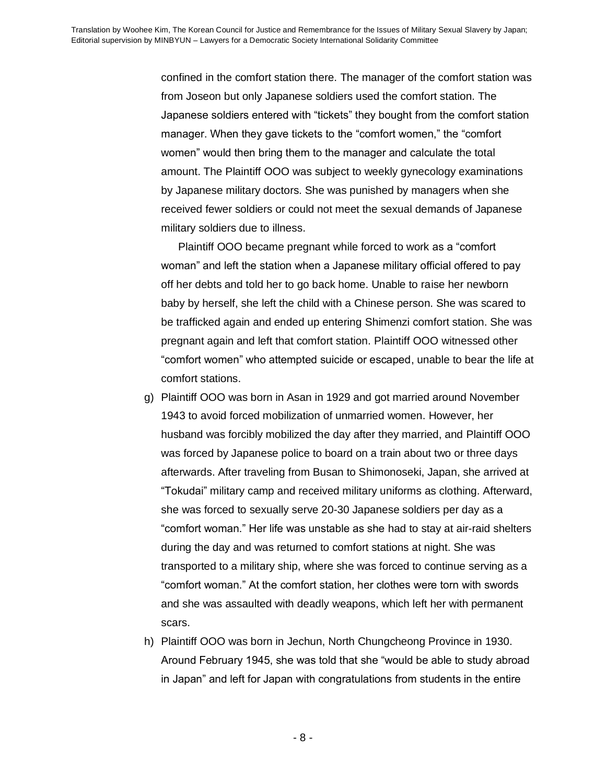confined in the comfort station there. The manager of the comfort station was from Joseon but only Japanese soldiers used the comfort station. The Japanese soldiers entered with "tickets" they bought from the comfort station manager. When they gave tickets to the "comfort women," the "comfort women" would then bring them to the manager and calculate the total amount. The Plaintiff OOO was subject to weekly gynecology examinations by Japanese military doctors. She was punished by managers when she received fewer soldiers or could not meet the sexual demands of Japanese military soldiers due to illness.

Plaintiff OOO became pregnant while forced to work as a "comfort woman" and left the station when a Japanese military official offered to pay off her debts and told her to go back home. Unable to raise her newborn baby by herself, she left the child with a Chinese person. She was scared to be trafficked again and ended up entering Shimenzi comfort station. She was pregnant again and left that comfort station. Plaintiff OOO witnessed other "comfort women" who attempted suicide or escaped, unable to bear the life at comfort stations.

- g) Plaintiff OOO was born in Asan in 1929 and got married around November 1943 to avoid forced mobilization of unmarried women. However, her husband was forcibly mobilized the day after they married, and Plaintiff OOO was forced by Japanese police to board on a train about two or three days afterwards. After traveling from Busan to Shimonoseki, Japan, she arrived at "Tokudai" military camp and received military uniforms as clothing. Afterward, she was forced to sexually serve 20-30 Japanese soldiers per day as a "comfort woman." Her life was unstable as she had to stay at air-raid shelters during the day and was returned to comfort stations at night. She was transported to a military ship, where she was forced to continue serving as a "comfort woman." At the comfort station, her clothes were torn with swords and she was assaulted with deadly weapons, which left her with permanent scars.
- h) Plaintiff OOO was born in Jechun, North Chungcheong Province in 1930. Around February 1945, she was told that she "would be able to study abroad in Japan" and left for Japan with congratulations from students in the entire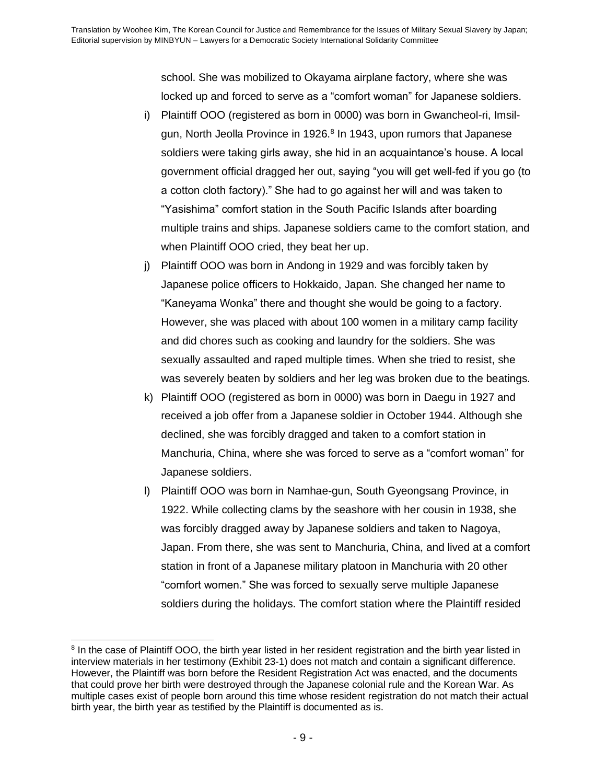school. She was mobilized to Okayama airplane factory, where she was locked up and forced to serve as a "comfort woman" for Japanese soldiers.

- i) Plaintiff OOO (registered as born in 0000) was born in Gwancheol-ri, Imsilgun, North Jeolla Province in 1926.<sup>8</sup> In 1943, upon rumors that Japanese soldiers were taking girls away, she hid in an acquaintance's house. A local government official dragged her out, saying "you will get well-fed if you go (to a cotton cloth factory)." She had to go against her will and was taken to "Yasishima" comfort station in the South Pacific Islands after boarding multiple trains and ships. Japanese soldiers came to the comfort station, and when Plaintiff OOO cried, they beat her up.
- j) Plaintiff OOO was born in Andong in 1929 and was forcibly taken by Japanese police officers to Hokkaido, Japan. She changed her name to "Kaneyama Wonka" there and thought she would be going to a factory. However, she was placed with about 100 women in a military camp facility and did chores such as cooking and laundry for the soldiers. She was sexually assaulted and raped multiple times. When she tried to resist, she was severely beaten by soldiers and her leg was broken due to the beatings.
- k) Plaintiff OOO (registered as born in 0000) was born in Daegu in 1927 and received a job offer from a Japanese soldier in October 1944. Although she declined, she was forcibly dragged and taken to a comfort station in Manchuria, China, where she was forced to serve as a "comfort woman" for Japanese soldiers.
- l) Plaintiff OOO was born in Namhae-gun, South Gyeongsang Province, in 1922. While collecting clams by the seashore with her cousin in 1938, she was forcibly dragged away by Japanese soldiers and taken to Nagoya, Japan. From there, she was sent to Manchuria, China, and lived at a comfort station in front of a Japanese military platoon in Manchuria with 20 other "comfort women." She was forced to sexually serve multiple Japanese soldiers during the holidays. The comfort station where the Plaintiff resided

<sup>&</sup>lt;sup>8</sup> In the case of Plaintiff OOO, the birth year listed in her resident registration and the birth year listed in interview materials in her testimony (Exhibit 23-1) does not match and contain a significant difference. However, the Plaintiff was born before the Resident Registration Act was enacted, and the documents that could prove her birth were destroyed through the Japanese colonial rule and the Korean War. As multiple cases exist of people born around this time whose resident registration do not match their actual birth year, the birth year as testified by the Plaintiff is documented as is.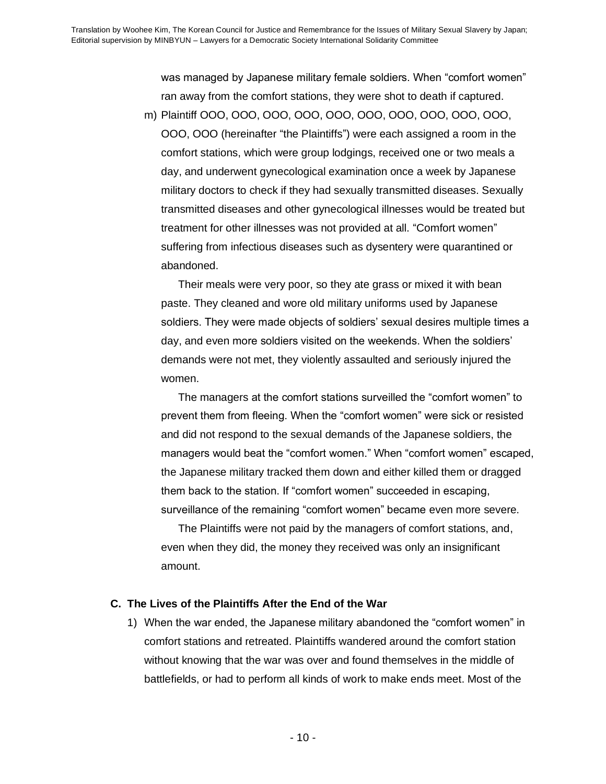was managed by Japanese military female soldiers. When "comfort women" ran away from the comfort stations, they were shot to death if captured.

m) Plaintiff OOO, OOO, OOO, OOO, OOO, OOO, OOO, OOO, OOO, OOO, OOO, OOO (hereinafter "the Plaintiffs") were each assigned a room in the comfort stations, which were group lodgings, received one or two meals a day, and underwent gynecological examination once a week by Japanese military doctors to check if they had sexually transmitted diseases. Sexually transmitted diseases and other gynecological illnesses would be treated but treatment for other illnesses was not provided at all. "Comfort women" suffering from infectious diseases such as dysentery were quarantined or abandoned.

Their meals were very poor, so they ate grass or mixed it with bean paste. They cleaned and wore old military uniforms used by Japanese soldiers. They were made objects of soldiers' sexual desires multiple times a day, and even more soldiers visited on the weekends. When the soldiers' demands were not met, they violently assaulted and seriously injured the women.

The managers at the comfort stations surveilled the "comfort women" to prevent them from fleeing. When the "comfort women" were sick or resisted and did not respond to the sexual demands of the Japanese soldiers, the managers would beat the "comfort women." When "comfort women" escaped, the Japanese military tracked them down and either killed them or dragged them back to the station. If "comfort women" succeeded in escaping, surveillance of the remaining "comfort women" became even more severe.

The Plaintiffs were not paid by the managers of comfort stations, and, even when they did, the money they received was only an insignificant amount.

### **C. The Lives of the Plaintiffs After the End of the War**

1) When the war ended, the Japanese military abandoned the "comfort women" in comfort stations and retreated. Plaintiffs wandered around the comfort station without knowing that the war was over and found themselves in the middle of battlefields, or had to perform all kinds of work to make ends meet. Most of the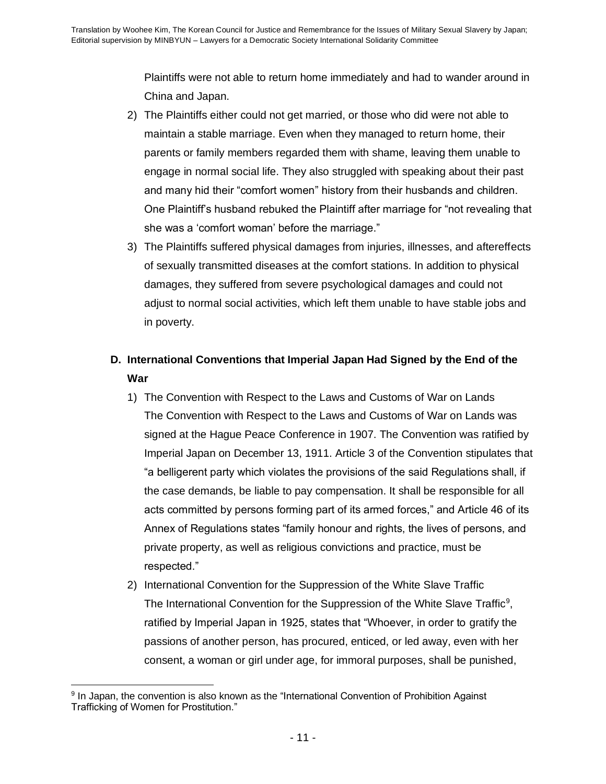Plaintiffs were not able to return home immediately and had to wander around in China and Japan.

- 2) The Plaintiffs either could not get married, or those who did were not able to maintain a stable marriage. Even when they managed to return home, their parents or family members regarded them with shame, leaving them unable to engage in normal social life. They also struggled with speaking about their past and many hid their "comfort women" history from their husbands and children. One Plaintiff's husband rebuked the Plaintiff after marriage for "not revealing that she was a 'comfort woman' before the marriage."
- 3) The Plaintiffs suffered physical damages from injuries, illnesses, and aftereffects of sexually transmitted diseases at the comfort stations. In addition to physical damages, they suffered from severe psychological damages and could not adjust to normal social activities, which left them unable to have stable jobs and in poverty.

# **D. International Conventions that Imperial Japan Had Signed by the End of the War**

- 1) The Convention with Respect to the Laws and Customs of War on Lands The Convention with Respect to the Laws and Customs of War on Lands was signed at the Hague Peace Conference in 1907. The Convention was ratified by Imperial Japan on December 13, 1911. Article 3 of the Convention stipulates that "a belligerent party which violates the provisions of the said Regulations shall, if the case demands, be liable to pay compensation. It shall be responsible for all acts committed by persons forming part of its armed forces," and Article 46 of its Annex of Regulations states "family honour and rights, the lives of persons, and private property, as well as religious convictions and practice, must be respected."
- 2) International Convention for the Suppression of the White Slave Traffic The International Convention for the Suppression of the White Slave Traffic<sup>9</sup>, ratified by Imperial Japan in 1925, states that "Whoever, in order to gratify the passions of another person, has procured, enticed, or led away, even with her consent, a woman or girl under age, for immoral purposes, shall be punished,

<sup>&</sup>lt;sup>9</sup> In Japan, the convention is also known as the "International Convention of Prohibition Against Trafficking of Women for Prostitution."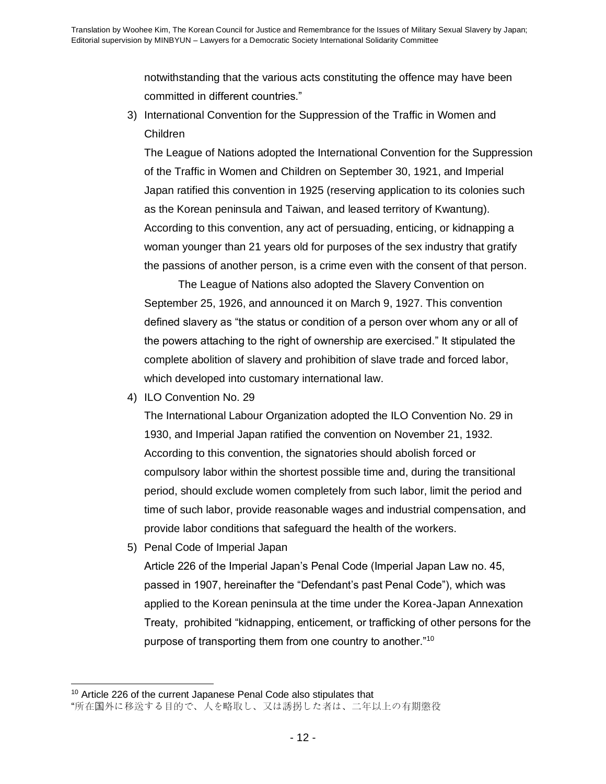notwithstanding that the various acts constituting the offence may have been committed in different countries."

3) International Convention for the Suppression of the Traffic in Women and Children

The League of Nations adopted the International Convention for the Suppression of the Traffic in Women and Children on September 30, 1921, and Imperial Japan ratified this convention in 1925 (reserving application to its colonies such as the Korean peninsula and Taiwan, and leased territory of Kwantung). According to this convention, any act of persuading, enticing, or kidnapping a woman younger than 21 years old for purposes of the sex industry that gratify the passions of another person, is a crime even with the consent of that person.

The League of Nations also adopted the Slavery Convention on September 25, 1926, and announced it on March 9, 1927. This convention defined slavery as "the status or condition of a person over whom any or all of the powers attaching to the right of ownership are exercised." It stipulated the complete abolition of slavery and prohibition of slave trade and forced labor, which developed into customary international law.

4) ILO Convention No. 29

The International Labour Organization adopted the ILO Convention No. 29 in 1930, and Imperial Japan ratified the convention on November 21, 1932. According to this convention, the signatories should abolish forced or compulsory labor within the shortest possible time and, during the transitional period, should exclude women completely from such labor, limit the period and time of such labor, provide reasonable wages and industrial compensation, and provide labor conditions that safeguard the health of the workers.

5) Penal Code of Imperial Japan

Article 226 of the Imperial Japan's Penal Code (Imperial Japan Law no. 45, passed in 1907, hereinafter the "Defendant's past Penal Code"), which was applied to the Korean peninsula at the time under the Korea-Japan Annexation Treaty, prohibited "kidnapping, enticement, or trafficking of other persons for the purpose of transporting them from one country to another."<sup>10</sup>

<sup>&</sup>lt;sup>10</sup> Article 226 of the current Japanese Penal Code also stipulates that "所在国外に移送する目的で、人を略取し、又は誘拐した者は、二年以上の有期懲役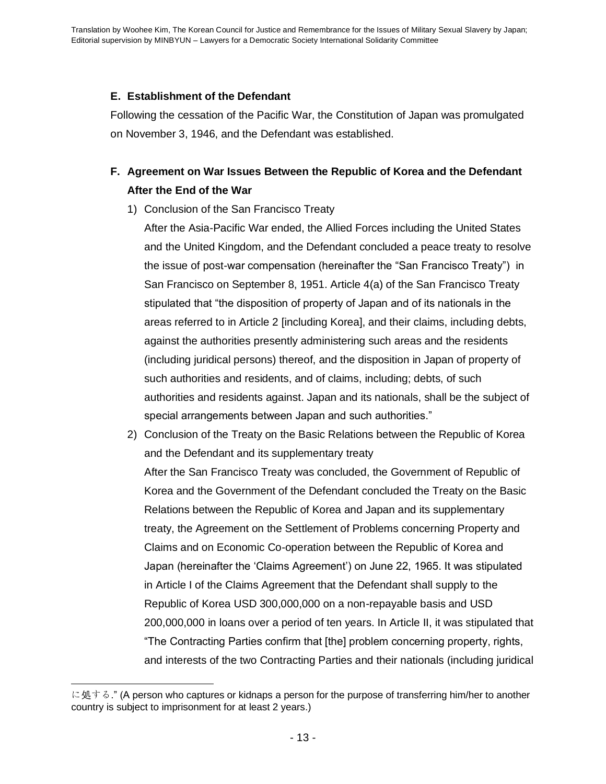### **E. Establishment of the Defendant**

Following the cessation of the Pacific War, the Constitution of Japan was promulgated on November 3, 1946, and the Defendant was established.

# **F. Agreement on War Issues Between the Republic of Korea and the Defendant After the End of the War**

1) Conclusion of the San Francisco Treaty

After the Asia-Pacific War ended, the Allied Forces including the United States and the United Kingdom, and the Defendant concluded a peace treaty to resolve the issue of post-war compensation (hereinafter the "San Francisco Treaty") in San Francisco on September 8, 1951. Article 4(a) of the San Francisco Treaty stipulated that "the disposition of property of Japan and of its nationals in the areas referred to in Article 2 [including Korea], and their claims, including debts, against the authorities presently administering such areas and the residents (including juridical persons) thereof, and the disposition in Japan of property of such authorities and residents, and of claims, including; debts, of such authorities and residents against. Japan and its nationals, shall be the subject of special arrangements between Japan and such authorities."

2) Conclusion of the Treaty on the Basic Relations between the Republic of Korea and the Defendant and its supplementary treaty After the San Francisco Treaty was concluded, the Government of Republic of Korea and the Government of the Defendant concluded the Treaty on the Basic Relations between the Republic of Korea and Japan and its supplementary treaty, the Agreement on the Settlement of Problems concerning Property and Claims and on Economic Co-operation between the Republic of Korea and Japan (hereinafter the 'Claims Agreement') on June 22, 1965. It was stipulated in Article I of the Claims Agreement that the Defendant shall supply to the Republic of Korea USD 300,000,000 on a non-repayable basis and USD 200,000,000 in loans over a period of ten years. In Article II, it was stipulated that "The Contracting Parties confirm that [the] problem concerning property, rights, and interests of the two Contracting Parties and their nationals (including juridical

に処する." (A person who captures or kidnaps a person for the purpose of transferring him/her to another country is subject to imprisonment for at least 2 years.)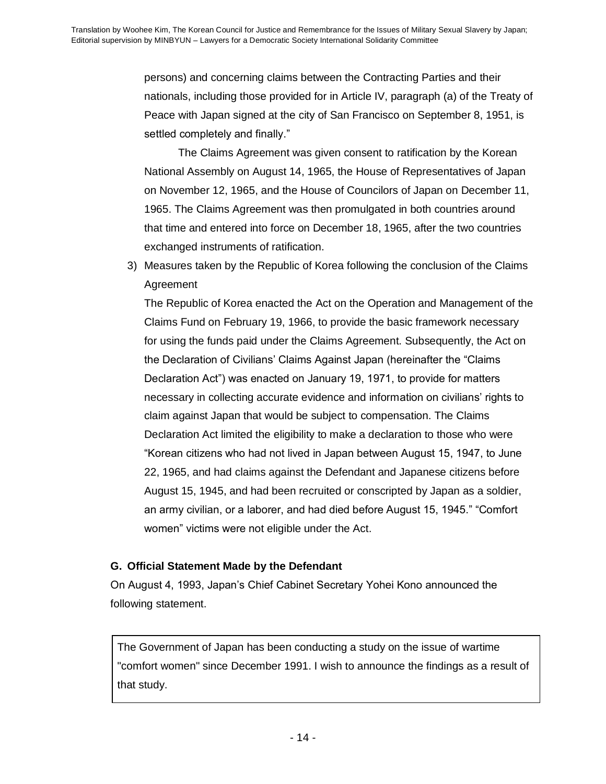persons) and concerning claims between the Contracting Parties and their nationals, including those provided for in Article IV, paragraph (a) of the Treaty of Peace with Japan signed at the city of San Francisco on September 8, 1951, is settled completely and finally."

The Claims Agreement was given consent to ratification by the Korean National Assembly on August 14, 1965, the House of Representatives of Japan on November 12, 1965, and the House of Councilors of Japan on December 11, 1965. The Claims Agreement was then promulgated in both countries around that time and entered into force on December 18, 1965, after the two countries exchanged instruments of ratification.

3) Measures taken by the Republic of Korea following the conclusion of the Claims Agreement

The Republic of Korea enacted the Act on the Operation and Management of the Claims Fund on February 19, 1966, to provide the basic framework necessary for using the funds paid under the Claims Agreement. Subsequently, the Act on the Declaration of Civilians' Claims Against Japan (hereinafter the "Claims Declaration Act") was enacted on January 19, 1971, to provide for matters necessary in collecting accurate evidence and information on civilians' rights to claim against Japan that would be subject to compensation. The Claims Declaration Act limited the eligibility to make a declaration to those who were "Korean citizens who had not lived in Japan between August 15, 1947, to June 22, 1965, and had claims against the Defendant and Japanese citizens before August 15, 1945, and had been recruited or conscripted by Japan as a soldier, an army civilian, or a laborer, and had died before August 15, 1945." "Comfort women" victims were not eligible under the Act.

## **G. Official Statement Made by the Defendant**

On August 4, 1993, Japan's Chief Cabinet Secretary Yohei Kono announced the following statement.

The Government of Japan has been conducting a study on the issue of wartime "comfort women" since December 1991. I wish to announce the findings as a result of that study.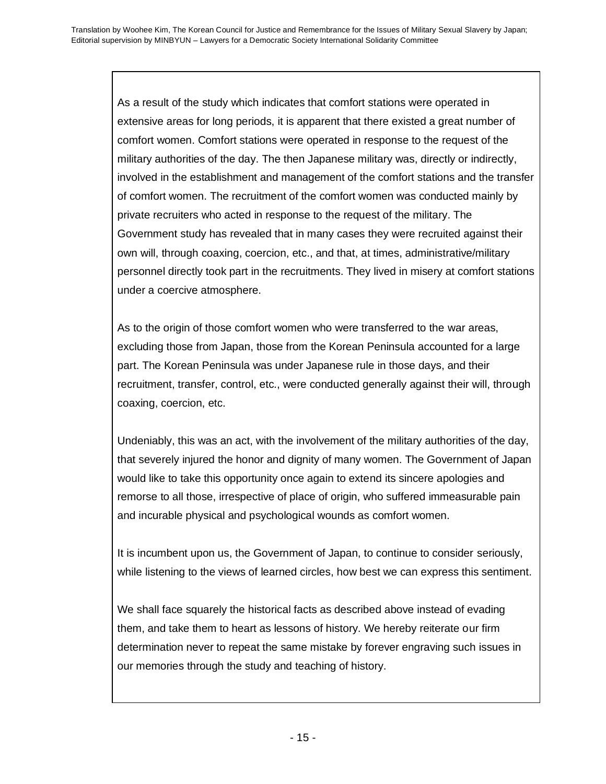As a result of the study which indicates that comfort stations were operated in extensive areas for long periods, it is apparent that there existed a great number of comfort women. Comfort stations were operated in response to the request of the military authorities of the day. The then Japanese military was, directly or indirectly, involved in the establishment and management of the comfort stations and the transfer of comfort women. The recruitment of the comfort women was conducted mainly by private recruiters who acted in response to the request of the military. The Government study has revealed that in many cases they were recruited against their own will, through coaxing, coercion, etc., and that, at times, administrative/military personnel directly took part in the recruitments. They lived in misery at comfort stations under a coercive atmosphere.

As to the origin of those comfort women who were transferred to the war areas, excluding those from Japan, those from the Korean Peninsula accounted for a large part. The Korean Peninsula was under Japanese rule in those days, and their recruitment, transfer, control, etc., were conducted generally against their will, through coaxing, coercion, etc.

Undeniably, this was an act, with the involvement of the military authorities of the day, that severely injured the honor and dignity of many women. The Government of Japan would like to take this opportunity once again to extend its sincere apologies and remorse to all those, irrespective of place of origin, who suffered immeasurable pain and incurable physical and psychological wounds as comfort women.

It is incumbent upon us, the Government of Japan, to continue to consider seriously, while listening to the views of learned circles, how best we can express this sentiment.

We shall face squarely the historical facts as described above instead of evading them, and take them to heart as lessons of history. We hereby reiterate our firm determination never to repeat the same mistake by forever engraving such issues in our memories through the study and teaching of history.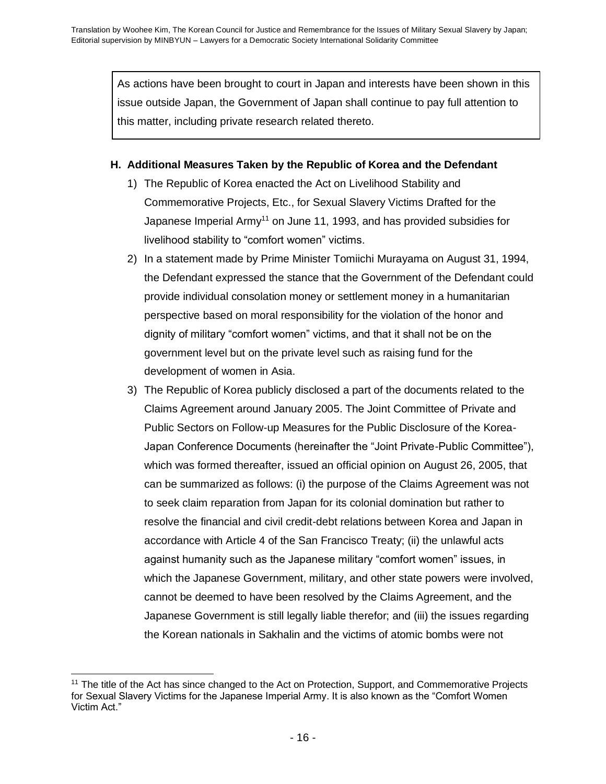As actions have been brought to court in Japan and interests have been shown in this issue outside Japan, the Government of Japan shall continue to pay full attention to this matter, including private research related thereto.

### **H. Additional Measures Taken by the Republic of Korea and the Defendant**

- 1) The Republic of Korea enacted the Act on Livelihood Stability and Commemorative Projects, Etc., for Sexual Slavery Victims Drafted for the Japanese Imperial Army<sup>11</sup> on June 11, 1993, and has provided subsidies for livelihood stability to "comfort women" victims.
- 2) In a statement made by Prime Minister Tomiichi Murayama on August 31, 1994, the Defendant expressed the stance that the Government of the Defendant could provide individual consolation money or settlement money in a humanitarian perspective based on moral responsibility for the violation of the honor and dignity of military "comfort women" victims, and that it shall not be on the government level but on the private level such as raising fund for the development of women in Asia.
- 3) The Republic of Korea publicly disclosed a part of the documents related to the Claims Agreement around January 2005. The Joint Committee of Private and Public Sectors on Follow-up Measures for the Public Disclosure of the Korea-Japan Conference Documents (hereinafter the "Joint Private-Public Committee"), which was formed thereafter, issued an official opinion on August 26, 2005, that can be summarized as follows: (i) the purpose of the Claims Agreement was not to seek claim reparation from Japan for its colonial domination but rather to resolve the financial and civil credit-debt relations between Korea and Japan in accordance with Article 4 of the San Francisco Treaty; (ii) the unlawful acts against humanity such as the Japanese military "comfort women" issues, in which the Japanese Government, military, and other state powers were involved, cannot be deemed to have been resolved by the Claims Agreement, and the Japanese Government is still legally liable therefor; and (iii) the issues regarding the Korean nationals in Sakhalin and the victims of atomic bombs were not

<sup>&</sup>lt;sup>11</sup> The title of the Act has since changed to the Act on Protection, Support, and Commemorative Projects for Sexual Slavery Victims for the Japanese Imperial Army. It is also known as the "Comfort Women Victim Act."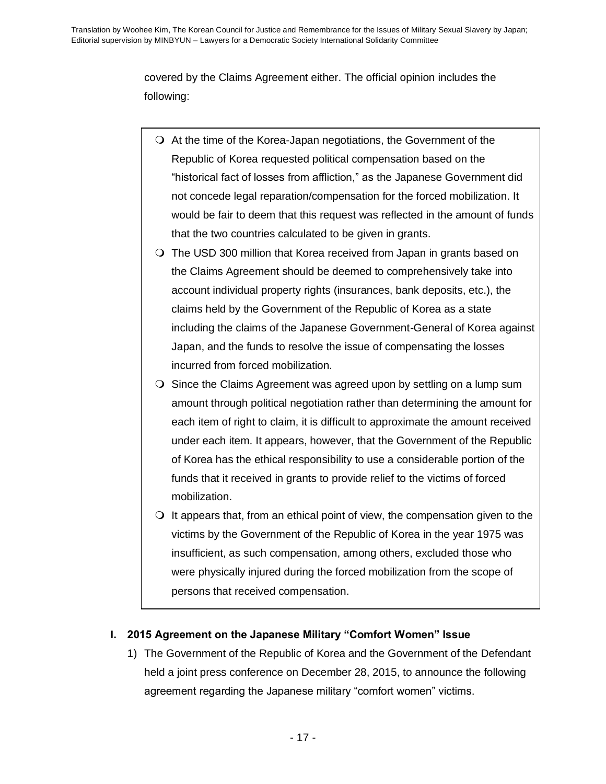covered by the Claims Agreement either. The official opinion includes the following:

- At the time of the Korea-Japan negotiations, the Government of the Republic of Korea requested political compensation based on the "historical fact of losses from affliction," as the Japanese Government did not concede legal reparation/compensation for the forced mobilization. It would be fair to deem that this request was reflected in the amount of funds that the two countries calculated to be given in grants.
- The USD 300 million that Korea received from Japan in grants based on the Claims Agreement should be deemed to comprehensively take into account individual property rights (insurances, bank deposits, etc.), the claims held by the Government of the Republic of Korea as a state including the claims of the Japanese Government-General of Korea against Japan, and the funds to resolve the issue of compensating the losses incurred from forced mobilization.
- Since the Claims Agreement was agreed upon by settling on a lump sum amount through political negotiation rather than determining the amount for each item of right to claim, it is difficult to approximate the amount received under each item. It appears, however, that the Government of the Republic of Korea has the ethical responsibility to use a considerable portion of the funds that it received in grants to provide relief to the victims of forced mobilization.
- $\bigcirc$  It appears that, from an ethical point of view, the compensation given to the victims by the Government of the Republic of Korea in the year 1975 was insufficient, as such compensation, among others, excluded those who were physically injured during the forced mobilization from the scope of persons that received compensation.

## **I. 2015 Agreement on the Japanese Military "Comfort Women" Issue**

1) The Government of the Republic of Korea and the Government of the Defendant held a joint press conference on December 28, 2015, to announce the following agreement regarding the Japanese military "comfort women" victims.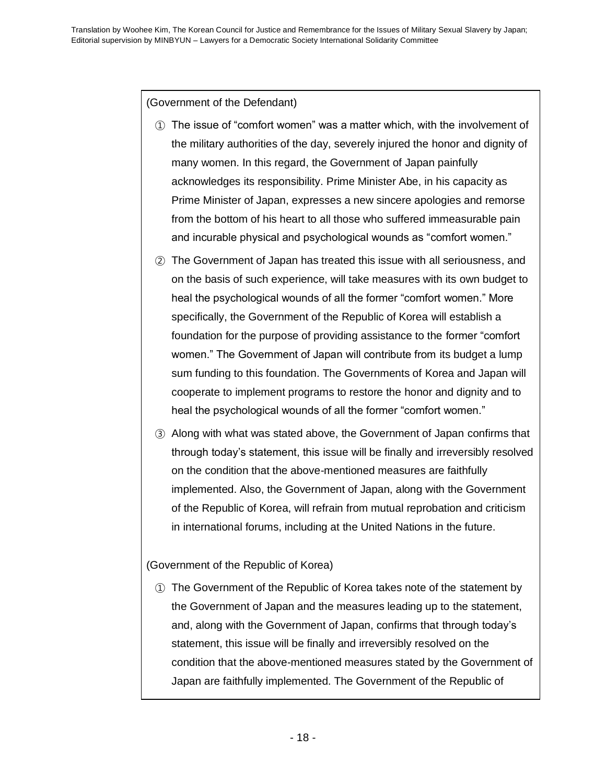### (Government of the Defendant)

- ① The issue of "comfort women" was a matter which, with the involvement of the military authorities of the day, severely injured the honor and dignity of many women. In this regard, the Government of Japan painfully acknowledges its responsibility. Prime Minister Abe, in his capacity as Prime Minister of Japan, expresses a new sincere apologies and remorse from the bottom of his heart to all those who suffered immeasurable pain and incurable physical and psychological wounds as "comfort women."
- ② The Government of Japan has treated this issue with all seriousness, and on the basis of such experience, will take measures with its own budget to heal the psychological wounds of all the former "comfort women." More specifically, the Government of the Republic of Korea will establish a foundation for the purpose of providing assistance to the former "comfort women." The Government of Japan will contribute from its budget a lump sum funding to this foundation. The Governments of Korea and Japan will cooperate to implement programs to restore the honor and dignity and to heal the psychological wounds of all the former "comfort women."
- ③ Along with what was stated above, the Government of Japan confirms that through today's statement, this issue will be finally and irreversibly resolved on the condition that the above-mentioned measures are faithfully implemented. Also, the Government of Japan, along with the Government of the Republic of Korea, will refrain from mutual reprobation and criticism in international forums, including at the United Nations in the future.

## (Government of the Republic of Korea)

① The Government of the Republic of Korea takes note of the statement by the Government of Japan and the measures leading up to the statement, and, along with the Government of Japan, confirms that through today's statement, this issue will be finally and irreversibly resolved on the condition that the above-mentioned measures stated by the Government of Japan are faithfully implemented. The Government of the Republic of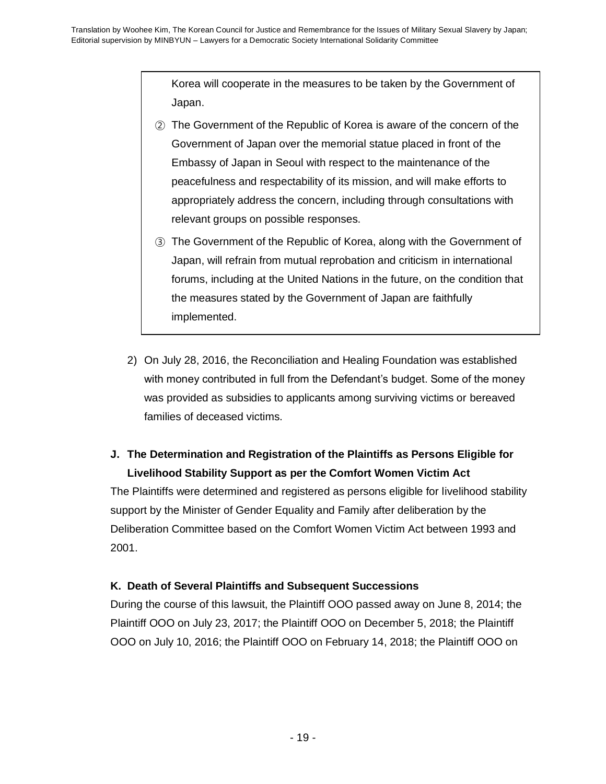Korea will cooperate in the measures to be taken by the Government of Japan.

- ② The Government of the Republic of Korea is aware of the concern of the Government of Japan over the memorial statue placed in front of the Embassy of Japan in Seoul with respect to the maintenance of the peacefulness and respectability of its mission, and will make efforts to appropriately address the concern, including through consultations with relevant groups on possible responses.
- ③ The Government of the Republic of Korea, along with the Government of Japan, will refrain from mutual reprobation and criticism in international forums, including at the United Nations in the future, on the condition that the measures stated by the Government of Japan are faithfully implemented.
- 2) On July 28, 2016, the Reconciliation and Healing Foundation was established with money contributed in full from the Defendant's budget. Some of the money was provided as subsidies to applicants among surviving victims or bereaved families of deceased victims.

# **J. The Determination and Registration of the Plaintiffs as Persons Eligible for Livelihood Stability Support as per the Comfort Women Victim Act**

The Plaintiffs were determined and registered as persons eligible for livelihood stability support by the Minister of Gender Equality and Family after deliberation by the Deliberation Committee based on the Comfort Women Victim Act between 1993 and 2001.

## **K. Death of Several Plaintiffs and Subsequent Successions**

During the course of this lawsuit, the Plaintiff OOO passed away on June 8, 2014; the Plaintiff OOO on July 23, 2017; the Plaintiff OOO on December 5, 2018; the Plaintiff OOO on July 10, 2016; the Plaintiff OOO on February 14, 2018; the Plaintiff OOO on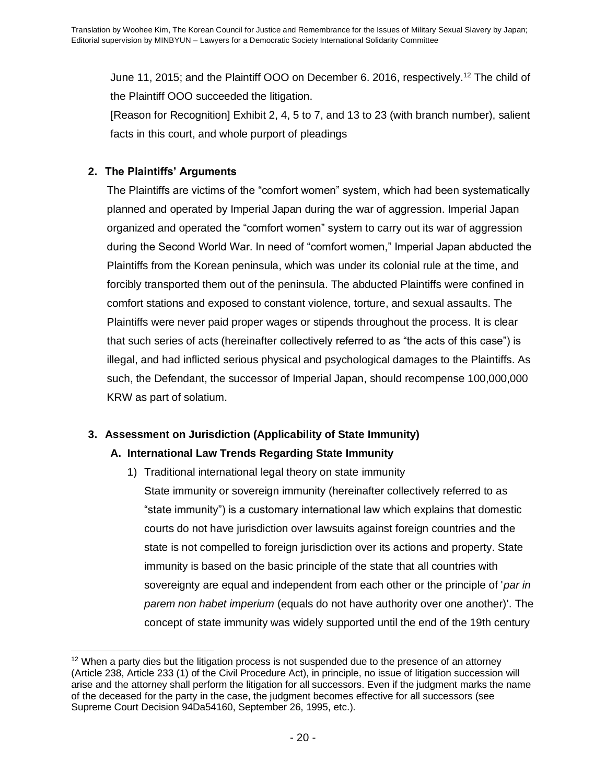June 11, 2015; and the Plaintiff OOO on December 6. 2016, respectively.<sup>12</sup> The child of the Plaintiff OOO succeeded the litigation.

[Reason for Recognition] Exhibit 2, 4, 5 to 7, and 13 to 23 (with branch number), salient facts in this court, and whole purport of pleadings

## **2. The Plaintiffs' Arguments**

The Plaintiffs are victims of the "comfort women" system, which had been systematically planned and operated by Imperial Japan during the war of aggression. Imperial Japan organized and operated the "comfort women" system to carry out its war of aggression during the Second World War. In need of "comfort women," Imperial Japan abducted the Plaintiffs from the Korean peninsula, which was under its colonial rule at the time, and forcibly transported them out of the peninsula. The abducted Plaintiffs were confined in comfort stations and exposed to constant violence, torture, and sexual assaults. The Plaintiffs were never paid proper wages or stipends throughout the process. It is clear that such series of acts (hereinafter collectively referred to as "the acts of this case") is illegal, and had inflicted serious physical and psychological damages to the Plaintiffs. As such, the Defendant, the successor of Imperial Japan, should recompense 100,000,000 KRW as part of solatium.

## **3. Assessment on Jurisdiction (Applicability of State Immunity)**

## **A. International Law Trends Regarding State Immunity**

1) Traditional international legal theory on state immunity State immunity or sovereign immunity (hereinafter collectively referred to as "state immunity") is a customary international law which explains that domestic courts do not have jurisdiction over lawsuits against foreign countries and the state is not compelled to foreign jurisdiction over its actions and property. State immunity is based on the basic principle of the state that all countries with sovereignty are equal and independent from each other or the principle of '*par in parem non habet imperium* (equals do not have authority over one another)'. The concept of state immunity was widely supported until the end of the 19th century

 $12$  When a party dies but the litigation process is not suspended due to the presence of an attorney (Article 238, Article 233 (1) of the Civil Procedure Act), in principle, no issue of litigation succession will arise and the attorney shall perform the litigation for all successors. Even if the judgment marks the name of the deceased for the party in the case, the judgment becomes effective for all successors (see Supreme Court Decision 94Da54160, September 26, 1995, etc.).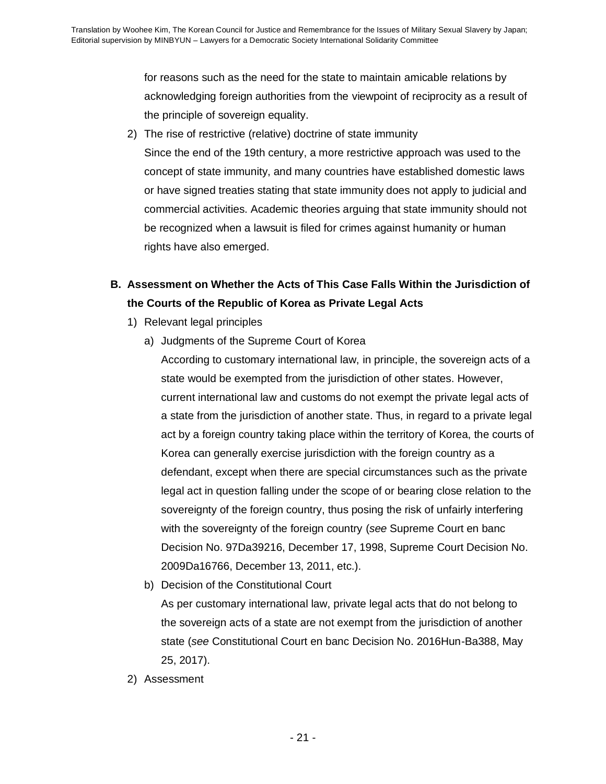for reasons such as the need for the state to maintain amicable relations by acknowledging foreign authorities from the viewpoint of reciprocity as a result of the principle of sovereign equality.

- 2) The rise of restrictive (relative) doctrine of state immunity
	- Since the end of the 19th century, a more restrictive approach was used to the concept of state immunity, and many countries have established domestic laws or have signed treaties stating that state immunity does not apply to judicial and commercial activities. Academic theories arguing that state immunity should not be recognized when a lawsuit is filed for crimes against humanity or human rights have also emerged.

# **B. Assessment on Whether the Acts of This Case Falls Within the Jurisdiction of the Courts of the Republic of Korea as Private Legal Acts**

- 1) Relevant legal principles
	- a) Judgments of the Supreme Court of Korea

According to customary international law, in principle, the sovereign acts of a state would be exempted from the jurisdiction of other states. However, current international law and customs do not exempt the private legal acts of a state from the jurisdiction of another state. Thus, in regard to a private legal act by a foreign country taking place within the territory of Korea, the courts of Korea can generally exercise jurisdiction with the foreign country as a defendant, except when there are special circumstances such as the private legal act in question falling under the scope of or bearing close relation to the sovereignty of the foreign country, thus posing the risk of unfairly interfering with the sovereignty of the foreign country (*see* Supreme Court en banc Decision No. 97Da39216, December 17, 1998, Supreme Court Decision No. 2009Da16766, December 13, 2011, etc.).

b) Decision of the Constitutional Court

As per customary international law, private legal acts that do not belong to the sovereign acts of a state are not exempt from the jurisdiction of another state (*see* Constitutional Court en banc Decision No. 2016Hun-Ba388, May 25, 2017).

2) Assessment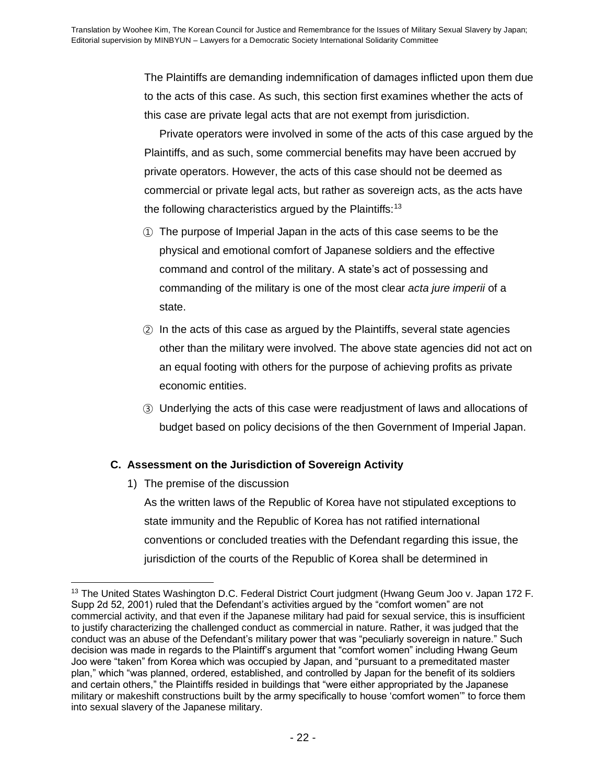The Plaintiffs are demanding indemnification of damages inflicted upon them due to the acts of this case. As such, this section first examines whether the acts of this case are private legal acts that are not exempt from jurisdiction.

Private operators were involved in some of the acts of this case argued by the Plaintiffs, and as such, some commercial benefits may have been accrued by private operators. However, the acts of this case should not be deemed as commercial or private legal acts, but rather as sovereign acts, as the acts have the following characteristics argued by the Plaintiffs:<sup>13</sup>

- ① The purpose of Imperial Japan in the acts of this case seems to be the physical and emotional comfort of Japanese soldiers and the effective command and control of the military. A state's act of possessing and commanding of the military is one of the most clear *acta jure imperii* of a state.
- ② In the acts of this case as argued by the Plaintiffs, several state agencies other than the military were involved. The above state agencies did not act on an equal footing with others for the purpose of achieving profits as private economic entities.
- ③ Underlying the acts of this case were readjustment of laws and allocations of budget based on policy decisions of the then Government of Imperial Japan.

## **C. Assessment on the Jurisdiction of Sovereign Activity**

1) The premise of the discussion

As the written laws of the Republic of Korea have not stipulated exceptions to state immunity and the Republic of Korea has not ratified international conventions or concluded treaties with the Defendant regarding this issue, the jurisdiction of the courts of the Republic of Korea shall be determined in

<sup>&</sup>lt;sup>13</sup> The United States Washington D.C. Federal District Court judgment (Hwang Geum Joo v. Japan 172 F. Supp 2d 52, 2001) ruled that the Defendant's activities argued by the "comfort women" are not commercial activity, and that even if the Japanese military had paid for sexual service, this is insufficient to justify characterizing the challenged conduct as commercial in nature. Rather, it was judged that the conduct was an abuse of the Defendant's military power that was "peculiarly sovereign in nature." Such decision was made in regards to the Plaintiff's argument that "comfort women" including Hwang Geum Joo were "taken" from Korea which was occupied by Japan, and "pursuant to a premeditated master plan," which "was planned, ordered, established, and controlled by Japan for the benefit of its soldiers and certain others," the Plaintiffs resided in buildings that "were either appropriated by the Japanese military or makeshift constructions built by the army specifically to house 'comfort women'" to force them into sexual slavery of the Japanese military.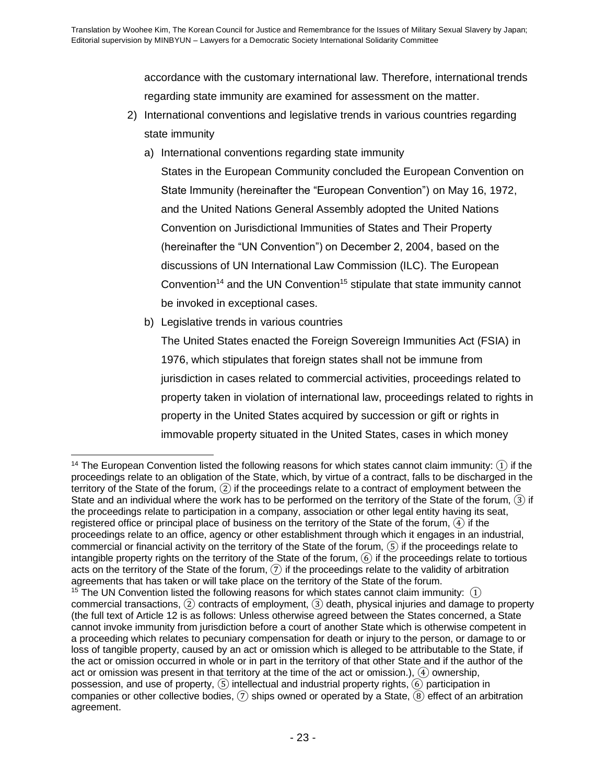accordance with the customary international law. Therefore, international trends regarding state immunity are examined for assessment on the matter.

- 2) International conventions and legislative trends in various countries regarding state immunity
	- a) International conventions regarding state immunity

States in the European Community concluded the European Convention on State Immunity (hereinafter the "European Convention") on May 16, 1972, and the United Nations General Assembly adopted the United Nations Convention on Jurisdictional Immunities of States and Their Property (hereinafter the "UN Convention") on December 2, 2004, based on the discussions of UN International Law Commission (ILC). The European Convention<sup>14</sup> and the UN Convention<sup>15</sup> stipulate that state immunity cannot be invoked in exceptional cases.

b) Legislative trends in various countries

The United States enacted the Foreign Sovereign Immunities Act (FSIA) in 1976, which stipulates that foreign states shall not be immune from jurisdiction in cases related to commercial activities, proceedings related to property taken in violation of international law, proceedings related to rights in property in the United States acquired by succession or gift or rights in immovable property situated in the United States, cases in which money

<sup>&</sup>lt;sup>14</sup> The European Convention listed the following reasons for which states cannot claim immunity:  $(1)$  if the proceedings relate to an obligation of the State, which, by virtue of a contract, falls to be discharged in the territory of the State of the forum,  $(2)$  if the proceedings relate to a contract of employment between the State and an individual where the work has to be performed on the territory of the State of the forum, ③ if the proceedings relate to participation in a company, association or other legal entity having its seat, registered office or principal place of business on the territory of the State of the forum,  $\overline{4}$ ) if the proceedings relate to an office, agency or other establishment through which it engages in an industrial, commercial or financial activity on the territory of the State of the forum, ⑤ if the proceedings relate to intangible property rights on the territory of the State of the forum, ⑥ if the proceedings relate to tortious acts on the territory of the State of the forum,  $(7)$  if the proceedings relate to the validity of arbitration agreements that has taken or will take place on the territory of the State of the forum. <sup>15</sup> The UN Convention listed the following reasons for which states cannot claim immunity:  $\Omega$ commercial transactions, ② contracts of employment, ③ death, physical injuries and damage to property

<sup>(</sup>the full text of Article 12 is as follows: Unless otherwise agreed between the States concerned, a State cannot invoke immunity from jurisdiction before a court of another State which is otherwise competent in a proceeding which relates to pecuniary compensation for death or injury to the person, or damage to or loss of tangible property, caused by an act or omission which is alleged to be attributable to the State, if the act or omission occurred in whole or in part in the territory of that other State and if the author of the act or omission was present in that territory at the time of the act or omission.),  $\left(4\right)$  ownership, possession, and use of property, ⑤ intellectual and industrial property rights, ⑥ participation in companies or other collective bodies,  $(7)$  ships owned or operated by a State,  $(8)$  effect of an arbitration agreement.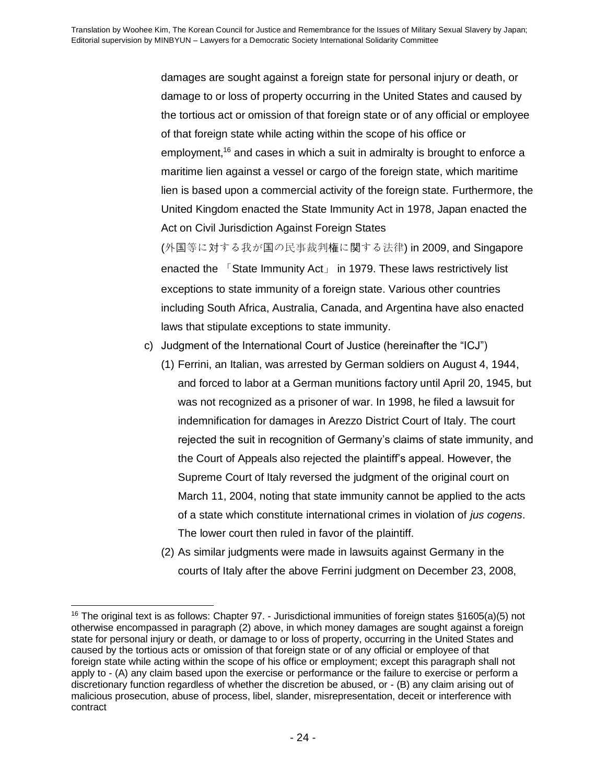damages are sought against a foreign state for personal injury or death, or damage to or loss of property occurring in the United States and caused by the tortious act or omission of that foreign state or of any official or employee of that foreign state while acting within the scope of his office or employment,<sup>16</sup> and cases in which a suit in admiralty is brought to enforce a maritime lien against a vessel or cargo of the foreign state, which maritime lien is based upon a commercial activity of the foreign state. Furthermore, the United Kingdom enacted the State Immunity Act in 1978, Japan enacted the Act on Civil Jurisdiction Against Foreign States

(外国等に対する我が国の民事裁判権に関する法律) in 2009, and Singapore enacted the 「State Immunity Act」 in 1979. These laws restrictively list exceptions to state immunity of a foreign state. Various other countries including South Africa, Australia, Canada, and Argentina have also enacted laws that stipulate exceptions to state immunity.

- c) Judgment of the International Court of Justice (hereinafter the "ICJ")
	- (1) Ferrini, an Italian, was arrested by German soldiers on August 4, 1944, and forced to labor at a German munitions factory until April 20, 1945, but was not recognized as a prisoner of war. In 1998, he filed a lawsuit for indemnification for damages in Arezzo District Court of Italy. The court rejected the suit in recognition of Germany's claims of state immunity, and the Court of Appeals also rejected the plaintiff's appeal. However, the Supreme Court of Italy reversed the judgment of the original court on March 11, 2004, noting that state immunity cannot be applied to the acts of a state which constitute international crimes in violation of *jus cogens*. The lower court then ruled in favor of the plaintiff.
	- (2) As similar judgments were made in lawsuits against Germany in the courts of Italy after the above Ferrini judgment on December 23, 2008,

<sup>&</sup>lt;sup>16</sup> The original text is as follows: Chapter 97. - Jurisdictional immunities of foreign states §1605(a)(5) not otherwise encompassed in paragraph (2) above, in which money damages are sought against a foreign state for personal injury or death, or damage to or loss of property, occurring in the United States and caused by the tortious acts or omission of that foreign state or of any official or employee of that foreign state while acting within the scope of his office or employment; except this paragraph shall not apply to - (A) any claim based upon the exercise or performance or the failure to exercise or perform a discretionary function regardless of whether the discretion be abused, or - (B) any claim arising out of malicious prosecution, abuse of process, libel, slander, misrepresentation, deceit or interference with contract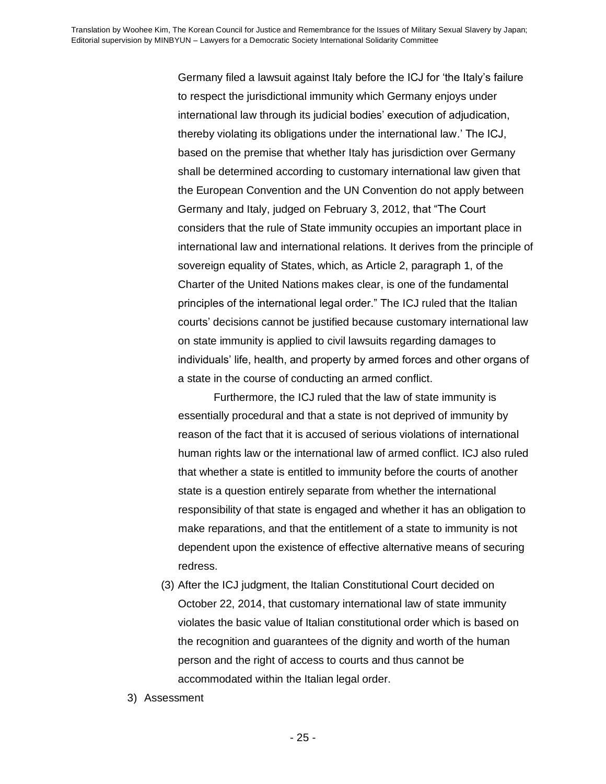Germany filed a lawsuit against Italy before the ICJ for 'the Italy's failure to respect the jurisdictional immunity which Germany enjoys under international law through its judicial bodies' execution of adjudication, thereby violating its obligations under the international law.' The ICJ, based on the premise that whether Italy has jurisdiction over Germany shall be determined according to customary international law given that the European Convention and the UN Convention do not apply between Germany and Italy, judged on February 3, 2012, that "The Court considers that the rule of State immunity occupies an important place in international law and international relations. It derives from the principle of sovereign equality of States, which, as Article 2, paragraph 1, of the Charter of the United Nations makes clear, is one of the fundamental principles of the international legal order." The ICJ ruled that the Italian courts' decisions cannot be justified because customary international law on state immunity is applied to civil lawsuits regarding damages to individuals' life, health, and property by armed forces and other organs of a state in the course of conducting an armed conflict.

Furthermore, the ICJ ruled that the law of state immunity is essentially procedural and that a state is not deprived of immunity by reason of the fact that it is accused of serious violations of international human rights law or the international law of armed conflict. ICJ also ruled that whether a state is entitled to immunity before the courts of another state is a question entirely separate from whether the international responsibility of that state is engaged and whether it has an obligation to make reparations, and that the entitlement of a state to immunity is not dependent upon the existence of effective alternative means of securing redress.

- (3) After the ICJ judgment, the Italian Constitutional Court decided on October 22, 2014, that customary international law of state immunity violates the basic value of Italian constitutional order which is based on the recognition and guarantees of the dignity and worth of the human person and the right of access to courts and thus cannot be accommodated within the Italian legal order.
- 3) Assessment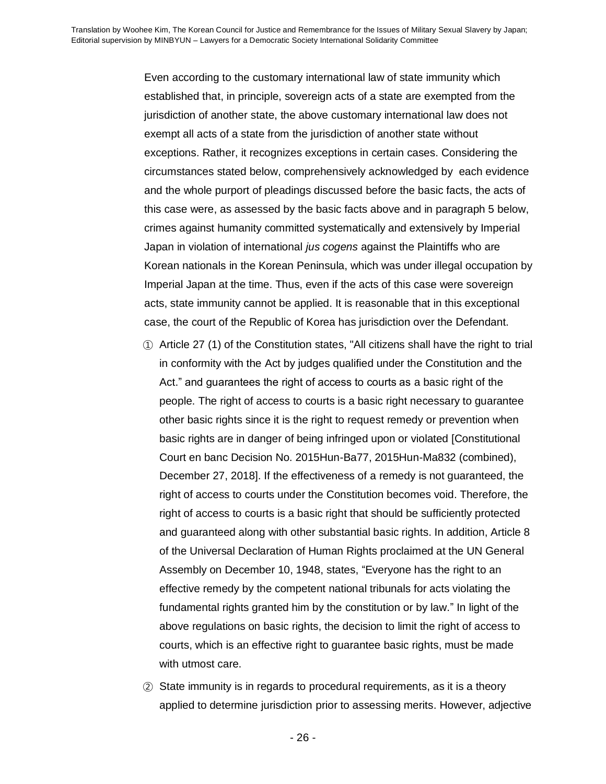Even according to the customary international law of state immunity which established that, in principle, sovereign acts of a state are exempted from the jurisdiction of another state, the above customary international law does not exempt all acts of a state from the jurisdiction of another state without exceptions. Rather, it recognizes exceptions in certain cases. Considering the circumstances stated below, comprehensively acknowledged by each evidence and the whole purport of pleadings discussed before the basic facts, the acts of this case were, as assessed by the basic facts above and in paragraph 5 below, crimes against humanity committed systematically and extensively by Imperial Japan in violation of international *jus cogens* against the Plaintiffs who are Korean nationals in the Korean Peninsula, which was under illegal occupation by Imperial Japan at the time. Thus, even if the acts of this case were sovereign acts, state immunity cannot be applied. It is reasonable that in this exceptional case, the court of the Republic of Korea has jurisdiction over the Defendant.

- ① Article 27 (1) of the Constitution states, "All citizens shall have the right to trial in conformity with the Act by judges qualified under the Constitution and the Act." and guarantees the right of access to courts as a basic right of the people. The right of access to courts is a basic right necessary to guarantee other basic rights since it is the right to request remedy or prevention when basic rights are in danger of being infringed upon or violated [Constitutional Court en banc Decision No. 2015Hun-Ba77, 2015Hun-Ma832 (combined), December 27, 2018]. If the effectiveness of a remedy is not guaranteed, the right of access to courts under the Constitution becomes void. Therefore, the right of access to courts is a basic right that should be sufficiently protected and guaranteed along with other substantial basic rights. In addition, Article 8 of the Universal Declaration of Human Rights proclaimed at the UN General Assembly on December 10, 1948, states, "Everyone has the right to an effective remedy by the competent national tribunals for acts violating the fundamental rights granted him by the constitution or by law." In light of the above regulations on basic rights, the decision to limit the right of access to courts, which is an effective right to guarantee basic rights, must be made with utmost care.
- ② State immunity is in regards to procedural requirements, as it is a theory applied to determine jurisdiction prior to assessing merits. However, adjective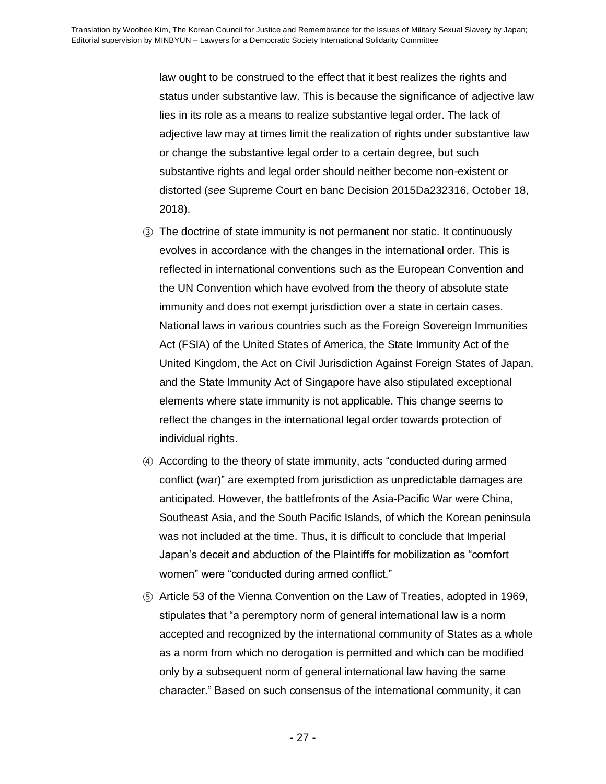law ought to be construed to the effect that it best realizes the rights and status under substantive law. This is because the significance of adjective law lies in its role as a means to realize substantive legal order. The lack of adjective law may at times limit the realization of rights under substantive law or change the substantive legal order to a certain degree, but such substantive rights and legal order should neither become non-existent or distorted (*see* Supreme Court en banc Decision 2015Da232316, October 18, 2018).

- ③ The doctrine of state immunity is not permanent nor static. It continuously evolves in accordance with the changes in the international order. This is reflected in international conventions such as the European Convention and the UN Convention which have evolved from the theory of absolute state immunity and does not exempt jurisdiction over a state in certain cases. National laws in various countries such as the Foreign Sovereign Immunities Act (FSIA) of the United States of America, the State Immunity Act of the United Kingdom, the Act on Civil Jurisdiction Against Foreign States of Japan, and the State Immunity Act of Singapore have also stipulated exceptional elements where state immunity is not applicable. This change seems to reflect the changes in the international legal order towards protection of individual rights.
- ④ According to the theory of state immunity, acts "conducted during armed conflict (war)" are exempted from jurisdiction as unpredictable damages are anticipated. However, the battlefronts of the Asia-Pacific War were China, Southeast Asia, and the South Pacific Islands, of which the Korean peninsula was not included at the time. Thus, it is difficult to conclude that Imperial Japan's deceit and abduction of the Plaintiffs for mobilization as "comfort women" were "conducted during armed conflict."
- ⑤ Article 53 of the Vienna Convention on the Law of Treaties, adopted in 1969, stipulates that "a peremptory norm of general international law is a norm accepted and recognized by the international community of States as a whole as a norm from which no derogation is permitted and which can be modified only by a subsequent norm of general international law having the same character." Based on such consensus of the international community, it can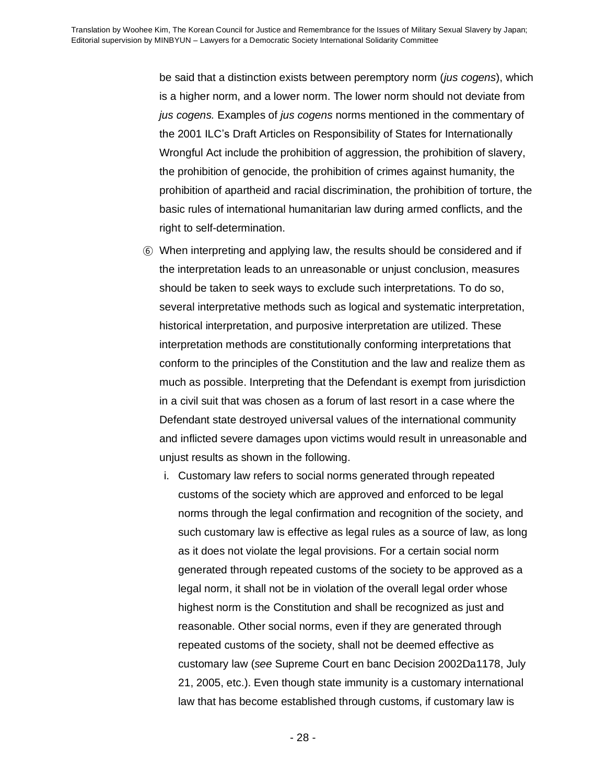be said that a distinction exists between peremptory norm (*jus cogens*), which is a higher norm, and a lower norm. The lower norm should not deviate from *jus cogens.* Examples of *jus cogens* norms mentioned in the commentary of the 2001 ILC's Draft Articles on Responsibility of States for Internationally Wrongful Act include the prohibition of aggression, the prohibition of slavery, the prohibition of genocide, the prohibition of crimes against humanity, the prohibition of apartheid and racial discrimination, the prohibition of torture, the basic rules of international humanitarian law during armed conflicts, and the right to self-determination.

- ⑥ When interpreting and applying law, the results should be considered and if the interpretation leads to an unreasonable or unjust conclusion, measures should be taken to seek ways to exclude such interpretations. To do so, several interpretative methods such as logical and systematic interpretation, historical interpretation, and purposive interpretation are utilized. These interpretation methods are constitutionally conforming interpretations that conform to the principles of the Constitution and the law and realize them as much as possible. Interpreting that the Defendant is exempt from jurisdiction in a civil suit that was chosen as a forum of last resort in a case where the Defendant state destroyed universal values of the international community and inflicted severe damages upon victims would result in unreasonable and unjust results as shown in the following.
	- i. Customary law refers to social norms generated through repeated customs of the society which are approved and enforced to be legal norms through the legal confirmation and recognition of the society, and such customary law is effective as legal rules as a source of law, as long as it does not violate the legal provisions. For a certain social norm generated through repeated customs of the society to be approved as a legal norm, it shall not be in violation of the overall legal order whose highest norm is the Constitution and shall be recognized as just and reasonable. Other social norms, even if they are generated through repeated customs of the society, shall not be deemed effective as customary law (*see* Supreme Court en banc Decision 2002Da1178, July 21, 2005, etc.). Even though state immunity is a customary international law that has become established through customs, if customary law is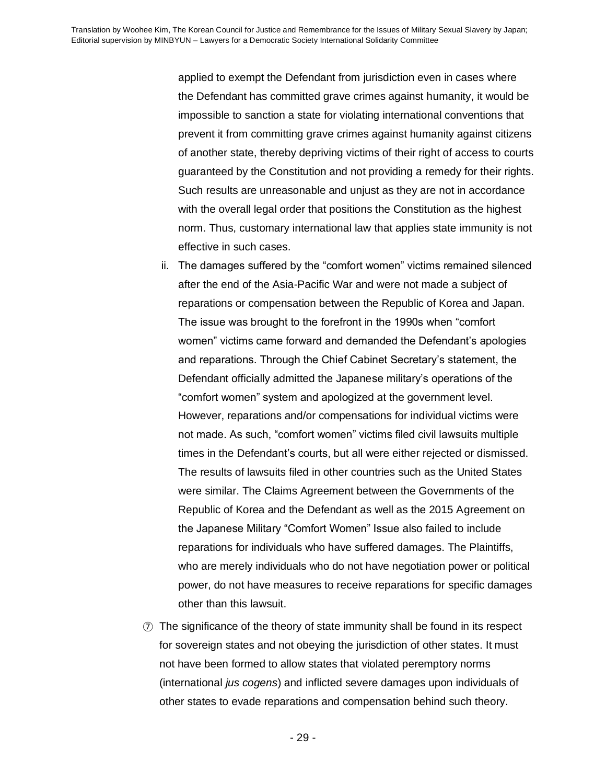applied to exempt the Defendant from jurisdiction even in cases where the Defendant has committed grave crimes against humanity, it would be impossible to sanction a state for violating international conventions that prevent it from committing grave crimes against humanity against citizens of another state, thereby depriving victims of their right of access to courts guaranteed by the Constitution and not providing a remedy for their rights. Such results are unreasonable and unjust as they are not in accordance with the overall legal order that positions the Constitution as the highest norm. Thus, customary international law that applies state immunity is not effective in such cases.

- ii. The damages suffered by the "comfort women" victims remained silenced after the end of the Asia-Pacific War and were not made a subject of reparations or compensation between the Republic of Korea and Japan. The issue was brought to the forefront in the 1990s when "comfort women" victims came forward and demanded the Defendant's apologies and reparations. Through the Chief Cabinet Secretary's statement, the Defendant officially admitted the Japanese military's operations of the "comfort women" system and apologized at the government level. However, reparations and/or compensations for individual victims were not made. As such, "comfort women" victims filed civil lawsuits multiple times in the Defendant's courts, but all were either rejected or dismissed. The results of lawsuits filed in other countries such as the United States were similar. The Claims Agreement between the Governments of the Republic of Korea and the Defendant as well as the 2015 Agreement on the Japanese Military "Comfort Women" Issue also failed to include reparations for individuals who have suffered damages. The Plaintiffs, who are merely individuals who do not have negotiation power or political power, do not have measures to receive reparations for specific damages other than this lawsuit.
- ⑦ The significance of the theory of state immunity shall be found in its respect for sovereign states and not obeying the jurisdiction of other states. It must not have been formed to allow states that violated peremptory norms (international *jus cogens*) and inflicted severe damages upon individuals of other states to evade reparations and compensation behind such theory.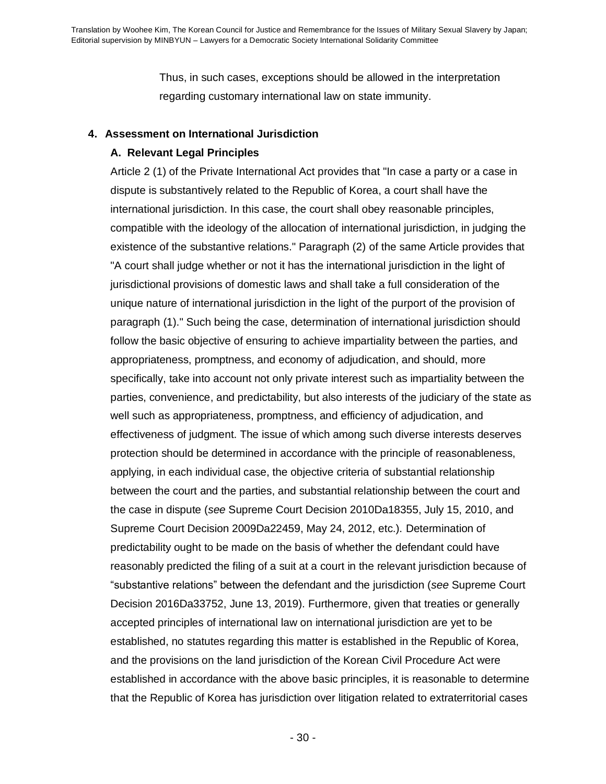Thus, in such cases, exceptions should be allowed in the interpretation regarding customary international law on state immunity.

### **4. Assessment on International Jurisdiction**

## **A. Relevant Legal Principles**

Article 2 (1) of the Private International Act provides that "In case a party or a case in dispute is substantively related to the Republic of Korea, a court shall have the international jurisdiction. In this case, the court shall obey reasonable principles, compatible with the ideology of the allocation of international jurisdiction, in judging the existence of the substantive relations." Paragraph (2) of the same Article provides that "A court shall judge whether or not it has the international jurisdiction in the light of jurisdictional provisions of domestic laws and shall take a full consideration of the unique nature of international jurisdiction in the light of the purport of the provision of paragraph (1)." Such being the case, determination of international jurisdiction should follow the basic objective of ensuring to achieve impartiality between the parties, and appropriateness, promptness, and economy of adjudication, and should, more specifically, take into account not only private interest such as impartiality between the parties, convenience, and predictability, but also interests of the judiciary of the state as well such as appropriateness, promptness, and efficiency of adjudication, and effectiveness of judgment. The issue of which among such diverse interests deserves protection should be determined in accordance with the principle of reasonableness, applying, in each individual case, the objective criteria of substantial relationship between the court and the parties, and substantial relationship between the court and the case in dispute (*see* Supreme Court Decision 2010Da18355, July 15, 2010, and Supreme Court Decision 2009Da22459, May 24, 2012, etc.). Determination of predictability ought to be made on the basis of whether the defendant could have reasonably predicted the filing of a suit at a court in the relevant jurisdiction because of "substantive relations" between the defendant and the jurisdiction (*see* Supreme Court Decision 2016Da33752, June 13, 2019). Furthermore, given that treaties or generally accepted principles of international law on international jurisdiction are yet to be established, no statutes regarding this matter is established in the Republic of Korea, and the provisions on the land jurisdiction of the Korean Civil Procedure Act were established in accordance with the above basic principles, it is reasonable to determine that the Republic of Korea has jurisdiction over litigation related to extraterritorial cases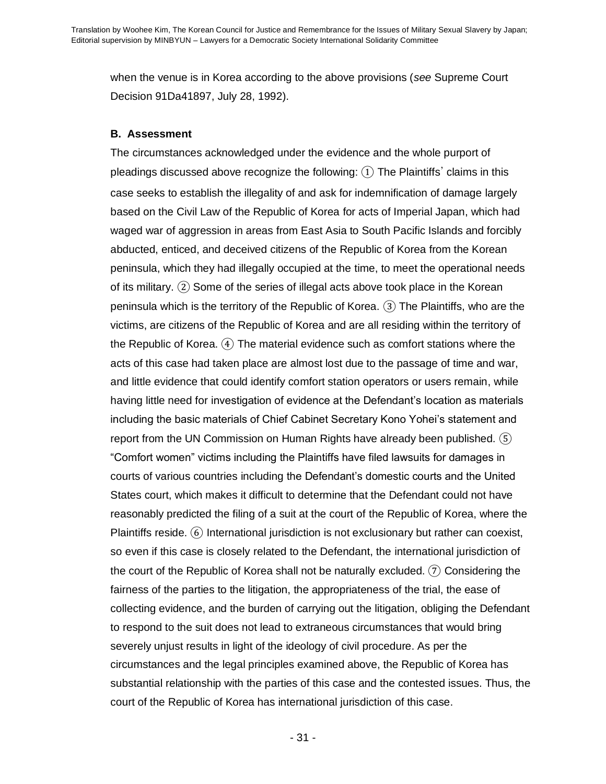when the venue is in Korea according to the above provisions (*see* Supreme Court Decision 91Da41897, July 28, 1992).

### **B. Assessment**

The circumstances acknowledged under the evidence and the whole purport of pleadings discussed above recognize the following:  $(1)$  The Plaintiffs' claims in this case seeks to establish the illegality of and ask for indemnification of damage largely based on the Civil Law of the Republic of Korea for acts of Imperial Japan, which had waged war of aggression in areas from East Asia to South Pacific Islands and forcibly abducted, enticed, and deceived citizens of the Republic of Korea from the Korean peninsula, which they had illegally occupied at the time, to meet the operational needs of its military. ② Some of the series of illegal acts above took place in the Korean peninsula which is the territory of the Republic of Korea. ③ The Plaintiffs, who are the victims, are citizens of the Republic of Korea and are all residing within the territory of the Republic of Korea.  $\left(4\right)$  The material evidence such as comfort stations where the acts of this case had taken place are almost lost due to the passage of time and war, and little evidence that could identify comfort station operators or users remain, while having little need for investigation of evidence at the Defendant's location as materials including the basic materials of Chief Cabinet Secretary Kono Yohei's statement and report from the UN Commission on Human Rights have already been published. (5) "Comfort women" victims including the Plaintiffs have filed lawsuits for damages in courts of various countries including the Defendant's domestic courts and the United States court, which makes it difficult to determine that the Defendant could not have reasonably predicted the filing of a suit at the court of the Republic of Korea, where the Plaintiffs reside. (6) International jurisdiction is not exclusionary but rather can coexist, so even if this case is closely related to the Defendant, the international jurisdiction of the court of the Republic of Korea shall not be naturally excluded.  $(7)$  Considering the fairness of the parties to the litigation, the appropriateness of the trial, the ease of collecting evidence, and the burden of carrying out the litigation, obliging the Defendant to respond to the suit does not lead to extraneous circumstances that would bring severely unjust results in light of the ideology of civil procedure. As per the circumstances and the legal principles examined above, the Republic of Korea has substantial relationship with the parties of this case and the contested issues. Thus, the court of the Republic of Korea has international jurisdiction of this case.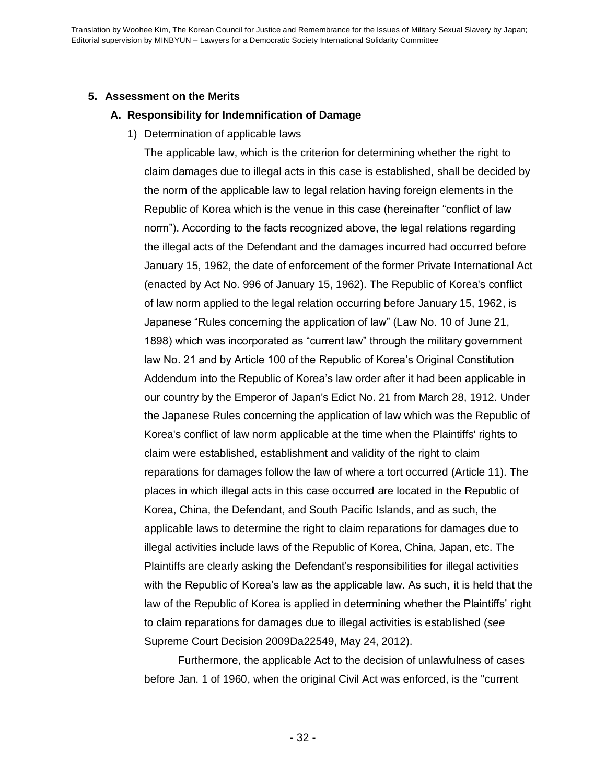#### **5. Assessment on the Merits**

#### **A. Responsibility for Indemnification of Damage**

1) Determination of applicable laws

The applicable law, which is the criterion for determining whether the right to claim damages due to illegal acts in this case is established, shall be decided by the norm of the applicable law to legal relation having foreign elements in the Republic of Korea which is the venue in this case (hereinafter "conflict of law norm"). According to the facts recognized above, the legal relations regarding the illegal acts of the Defendant and the damages incurred had occurred before January 15, 1962, the date of enforcement of the former Private International Act (enacted by Act No. 996 of January 15, 1962). The Republic of Korea's conflict of law norm applied to the legal relation occurring before January 15, 1962, is Japanese "Rules concerning the application of law" (Law No. 10 of June 21, 1898) which was incorporated as "current law" through the military government law No. 21 and by Article 100 of the Republic of Korea's Original Constitution Addendum into the Republic of Korea's law order after it had been applicable in our country by the Emperor of Japan's Edict No. 21 from March 28, 1912. Under the Japanese Rules concerning the application of law which was the Republic of Korea's conflict of law norm applicable at the time when the Plaintiffs' rights to claim were established, establishment and validity of the right to claim reparations for damages follow the law of where a tort occurred (Article 11). The places in which illegal acts in this case occurred are located in the Republic of Korea, China, the Defendant, and South Pacific Islands, and as such, the applicable laws to determine the right to claim reparations for damages due to illegal activities include laws of the Republic of Korea, China, Japan, etc. The Plaintiffs are clearly asking the Defendant's responsibilities for illegal activities with the Republic of Korea's law as the applicable law. As such, it is held that the law of the Republic of Korea is applied in determining whether the Plaintiffs' right to claim reparations for damages due to illegal activities is established (*see* Supreme Court Decision 2009Da22549, May 24, 2012).

Furthermore, the applicable Act to the decision of unlawfulness of cases before Jan. 1 of 1960, when the original Civil Act was enforced, is the "current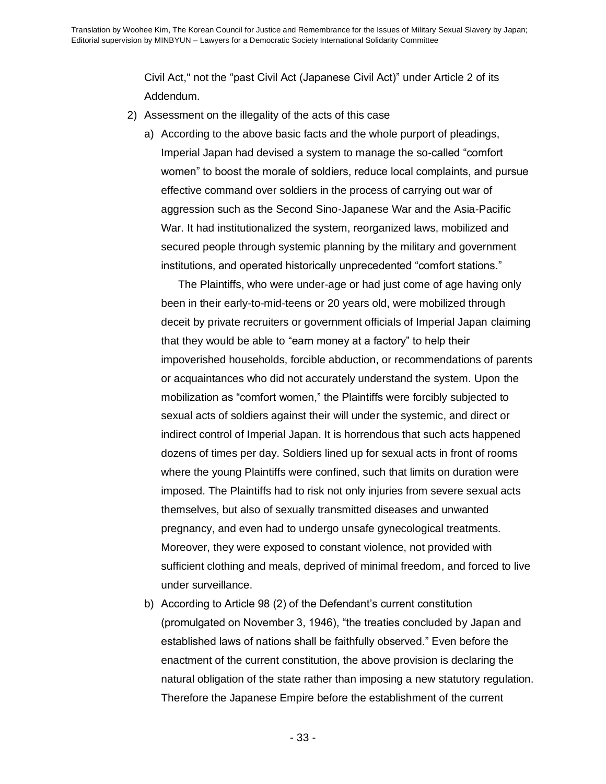Civil Act," not the "past Civil Act (Japanese Civil Act)" under Article 2 of its Addendum.

- 2) Assessment on the illegality of the acts of this case
	- a) According to the above basic facts and the whole purport of pleadings, Imperial Japan had devised a system to manage the so-called "comfort women" to boost the morale of soldiers, reduce local complaints, and pursue effective command over soldiers in the process of carrying out war of aggression such as the Second Sino-Japanese War and the Asia-Pacific War. It had institutionalized the system, reorganized laws, mobilized and secured people through systemic planning by the military and government institutions, and operated historically unprecedented "comfort stations."

The Plaintiffs, who were under-age or had just come of age having only been in their early-to-mid-teens or 20 years old, were mobilized through deceit by private recruiters or government officials of Imperial Japan claiming that they would be able to "earn money at a factory" to help their impoverished households, forcible abduction, or recommendations of parents or acquaintances who did not accurately understand the system. Upon the mobilization as "comfort women," the Plaintiffs were forcibly subjected to sexual acts of soldiers against their will under the systemic, and direct or indirect control of Imperial Japan. It is horrendous that such acts happened dozens of times per day. Soldiers lined up for sexual acts in front of rooms where the young Plaintiffs were confined, such that limits on duration were imposed. The Plaintiffs had to risk not only injuries from severe sexual acts themselves, but also of sexually transmitted diseases and unwanted pregnancy, and even had to undergo unsafe gynecological treatments. Moreover, they were exposed to constant violence, not provided with sufficient clothing and meals, deprived of minimal freedom, and forced to live under surveillance.

b) According to Article 98 (2) of the Defendant's current constitution (promulgated on November 3, 1946), "the treaties concluded by Japan and established laws of nations shall be faithfully observed." Even before the enactment of the current constitution, the above provision is declaring the natural obligation of the state rather than imposing a new statutory regulation. Therefore the Japanese Empire before the establishment of the current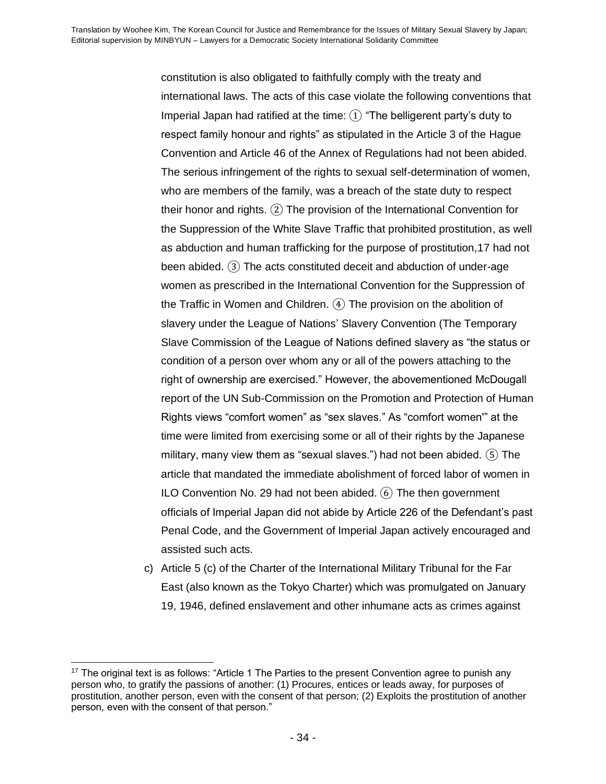constitution is also obligated to faithfully comply with the treaty and international laws. The acts of this case violate the following conventions that Imperial Japan had ratified at the time:  $(1)$  "The belligerent party's duty to respect family honour and rights" as stipulated in the Article 3 of the Hague Convention and Article 46 of the Annex of Regulations had not been abided. The serious infringement of the rights to sexual self-determination of women, who are members of the family, was a breach of the state duty to respect their honor and rights. ② The provision of the International Convention for the Suppression of the White Slave Traffic that prohibited prostitution, as well as abduction and human trafficking for the purpose of prostitution,17 had not been abided. ③ The acts constituted deceit and abduction of under-age women as prescribed in the International Convention for the Suppression of the Traffic in Women and Children.  $(4)$  The provision on the abolition of slavery under the League of Nations' Slavery Convention (The Temporary Slave Commission of the League of Nations defined slavery as "the status or condition of a person over whom any or all of the powers attaching to the right of ownership are exercised." However, the abovementioned McDougall report of the UN Sub-Commission on the Promotion and Protection of Human Rights views "comfort women" as "sex slaves." As "comfort women'" at the time were limited from exercising some or all of their rights by the Japanese military, many view them as "sexual slaves.") had not been abided.  $(5)$  The article that mandated the immediate abolishment of forced labor of women in ILO Convention No. 29 had not been abided. ⑥ The then government officials of Imperial Japan did not abide by Article 226 of the Defendant's past Penal Code, and the Government of Imperial Japan actively encouraged and assisted such acts.

c) Article 5 (c) of the Charter of the International Military Tribunal for the Far East (also known as the Tokyo Charter) which was promulgated on January 19, 1946, defined enslavement and other inhumane acts as crimes against

 $17$  The original text is as follows: "Article 1 The Parties to the present Convention agree to punish any person who, to gratify the passions of another: (1) Procures, entices or leads away, for purposes of prostitution, another person, even with the consent of that person; (2) Exploits the prostitution of another person, even with the consent of that person."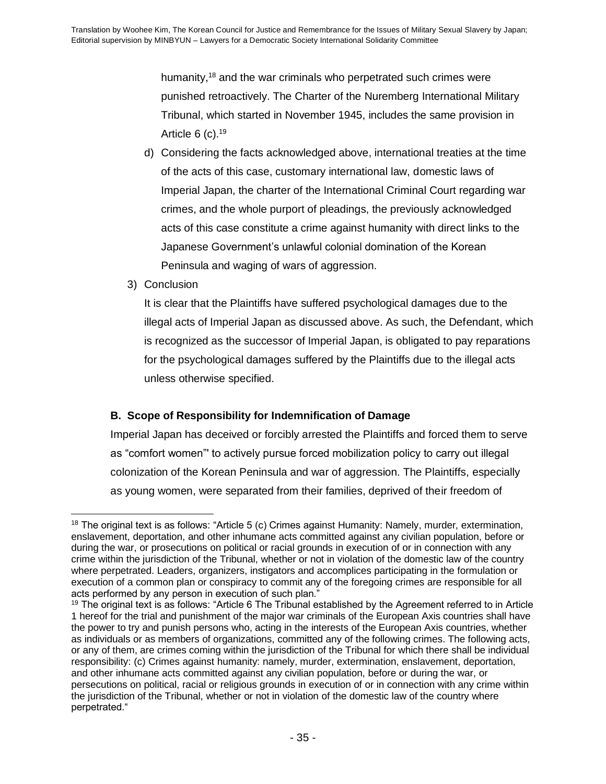humanity,<sup>18</sup> and the war criminals who perpetrated such crimes were punished retroactively. The Charter of the Nuremberg International Military Tribunal, which started in November 1945, includes the same provision in Article  $6$  (c).<sup>19</sup>

- d) Considering the facts acknowledged above, international treaties at the time of the acts of this case, customary international law, domestic laws of Imperial Japan, the charter of the International Criminal Court regarding war crimes, and the whole purport of pleadings, the previously acknowledged acts of this case constitute a crime against humanity with direct links to the Japanese Government's unlawful colonial domination of the Korean Peninsula and waging of wars of aggression.
- 3) Conclusion

It is clear that the Plaintiffs have suffered psychological damages due to the illegal acts of Imperial Japan as discussed above. As such, the Defendant, which is recognized as the successor of Imperial Japan, is obligated to pay reparations for the psychological damages suffered by the Plaintiffs due to the illegal acts unless otherwise specified.

## **B. Scope of Responsibility for Indemnification of Damage**

Imperial Japan has deceived or forcibly arrested the Plaintiffs and forced them to serve as "comfort women"' to actively pursue forced mobilization policy to carry out illegal colonization of the Korean Peninsula and war of aggression. The Plaintiffs, especially as young women, were separated from their families, deprived of their freedom of

<sup>&</sup>lt;sup>18</sup> The original text is as follows: "Article 5 (c) Crimes against Humanity: Namely, murder, extermination, enslavement, deportation, and other inhumane acts committed against any civilian population, before or during the war, or prosecutions on political or racial grounds in execution of or in connection with any crime within the jurisdiction of the Tribunal, whether or not in violation of the domestic law of the country where perpetrated. Leaders, organizers, instigators and accomplices participating in the formulation or execution of a common plan or conspiracy to commit any of the foregoing crimes are responsible for all acts performed by any person in execution of such plan."

 $19$  The original text is as follows: "Article 6 The Tribunal established by the Agreement referred to in Article 1 hereof for the trial and punishment of the major war criminals of the European Axis countries shall have the power to try and punish persons who, acting in the interests of the European Axis countries, whether as individuals or as members of organizations, committed any of the following crimes. The following acts, or any of them, are crimes coming within the jurisdiction of the Tribunal for which there shall be individual responsibility: (c) Crimes against humanity: namely, murder, extermination, enslavement, deportation, and other inhumane acts committed against any civilian population, before or during the war, or persecutions on political, racial or religious grounds in execution of or in connection with any crime within the jurisdiction of the Tribunal, whether or not in violation of the domestic law of the country where perpetrated."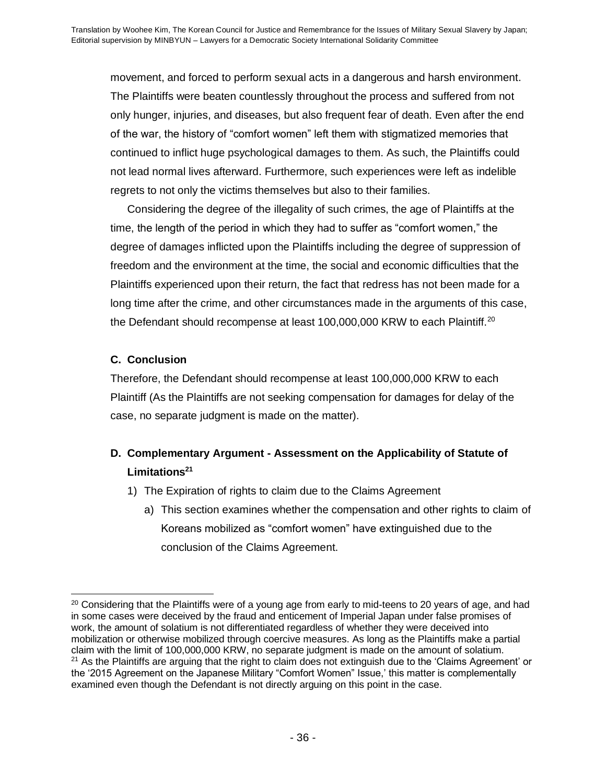movement, and forced to perform sexual acts in a dangerous and harsh environment. The Plaintiffs were beaten countlessly throughout the process and suffered from not only hunger, injuries, and diseases, but also frequent fear of death. Even after the end of the war, the history of "comfort women" left them with stigmatized memories that continued to inflict huge psychological damages to them. As such, the Plaintiffs could not lead normal lives afterward. Furthermore, such experiences were left as indelible regrets to not only the victims themselves but also to their families.

Considering the degree of the illegality of such crimes, the age of Plaintiffs at the time, the length of the period in which they had to suffer as "comfort women," the degree of damages inflicted upon the Plaintiffs including the degree of suppression of freedom and the environment at the time, the social and economic difficulties that the Plaintiffs experienced upon their return, the fact that redress has not been made for a long time after the crime, and other circumstances made in the arguments of this case, the Defendant should recompense at least 100,000,000 KRW to each Plaintiff.<sup>20</sup>

## **C. Conclusion**

Therefore, the Defendant should recompense at least 100,000,000 KRW to each Plaintiff (As the Plaintiffs are not seeking compensation for damages for delay of the case, no separate judgment is made on the matter).

# **D. Complementary Argument - Assessment on the Applicability of Statute of Limitations<sup>21</sup>**

- 1) The Expiration of rights to claim due to the Claims Agreement
	- a) This section examines whether the compensation and other rights to claim of Koreans mobilized as "comfort women" have extinguished due to the conclusion of the Claims Agreement.

<sup>&</sup>lt;sup>20</sup> Considering that the Plaintiffs were of a young age from early to mid-teens to 20 years of age, and had in some cases were deceived by the fraud and enticement of Imperial Japan under false promises of work, the amount of solatium is not differentiated regardless of whether they were deceived into mobilization or otherwise mobilized through coercive measures. As long as the Plaintiffs make a partial claim with the limit of 100,000,000 KRW, no separate judgment is made on the amount of solatium.  $21$  As the Plaintiffs are arguing that the right to claim does not extinguish due to the 'Claims Agreement' or the '2015 Agreement on the Japanese Military "Comfort Women" Issue,' this matter is complementally examined even though the Defendant is not directly arguing on this point in the case.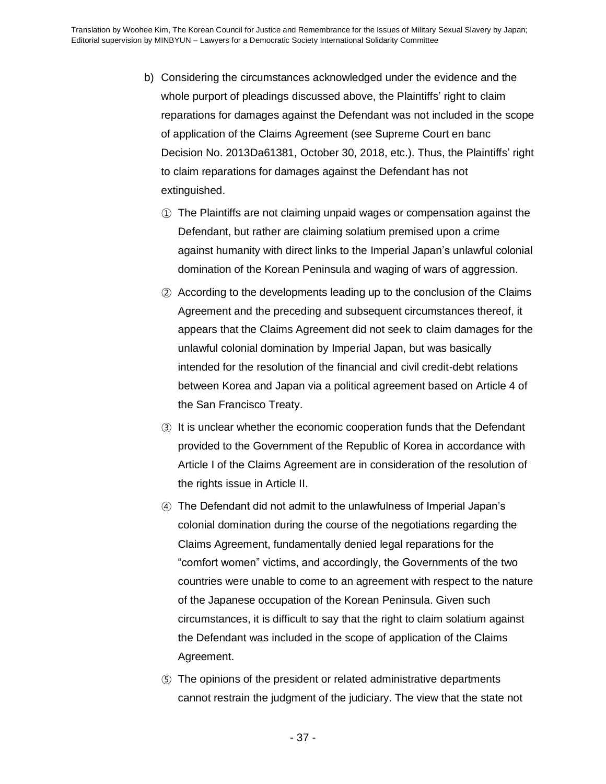- b) Considering the circumstances acknowledged under the evidence and the whole purport of pleadings discussed above, the Plaintiffs' right to claim reparations for damages against the Defendant was not included in the scope of application of the Claims Agreement (see Supreme Court en banc Decision No. 2013Da61381, October 30, 2018, etc.). Thus, the Plaintiffs' right to claim reparations for damages against the Defendant has not extinguished.
	- ① The Plaintiffs are not claiming unpaid wages or compensation against the Defendant, but rather are claiming solatium premised upon a crime against humanity with direct links to the Imperial Japan's unlawful colonial domination of the Korean Peninsula and waging of wars of aggression.
	- ② According to the developments leading up to the conclusion of the Claims Agreement and the preceding and subsequent circumstances thereof, it appears that the Claims Agreement did not seek to claim damages for the unlawful colonial domination by Imperial Japan, but was basically intended for the resolution of the financial and civil credit-debt relations between Korea and Japan via a political agreement based on Article 4 of the San Francisco Treaty.
	- ③ It is unclear whether the economic cooperation funds that the Defendant provided to the Government of the Republic of Korea in accordance with Article I of the Claims Agreement are in consideration of the resolution of the rights issue in Article II.
	- ④ The Defendant did not admit to the unlawfulness of Imperial Japan's colonial domination during the course of the negotiations regarding the Claims Agreement, fundamentally denied legal reparations for the "comfort women" victims, and accordingly, the Governments of the two countries were unable to come to an agreement with respect to the nature of the Japanese occupation of the Korean Peninsula. Given such circumstances, it is difficult to say that the right to claim solatium against the Defendant was included in the scope of application of the Claims Agreement.
	- ⑤ The opinions of the president or related administrative departments cannot restrain the judgment of the judiciary. The view that the state not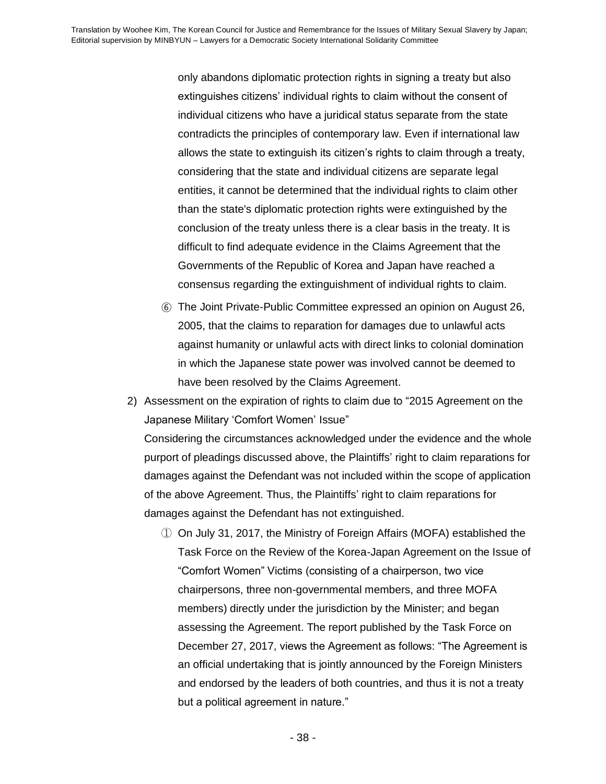only abandons diplomatic protection rights in signing a treaty but also extinguishes citizens' individual rights to claim without the consent of individual citizens who have a juridical status separate from the state contradicts the principles of contemporary law. Even if international law allows the state to extinguish its citizen's rights to claim through a treaty, considering that the state and individual citizens are separate legal entities, it cannot be determined that the individual rights to claim other than the state's diplomatic protection rights were extinguished by the conclusion of the treaty unless there is a clear basis in the treaty. It is difficult to find adequate evidence in the Claims Agreement that the Governments of the Republic of Korea and Japan have reached a consensus regarding the extinguishment of individual rights to claim.

- ⑥ The Joint Private-Public Committee expressed an opinion on August 26, 2005, that the claims to reparation for damages due to unlawful acts against humanity or unlawful acts with direct links to colonial domination in which the Japanese state power was involved cannot be deemed to have been resolved by the Claims Agreement.
- 2) Assessment on the expiration of rights to claim due to "2015 Agreement on the Japanese Military 'Comfort Women' Issue"

Considering the circumstances acknowledged under the evidence and the whole purport of pleadings discussed above, the Plaintiffs' right to claim reparations for damages against the Defendant was not included within the scope of application of the above Agreement. Thus, the Plaintiffs' right to claim reparations for damages against the Defendant has not extinguished.

① On July 31, 2017, the Ministry of Foreign Affairs (MOFA) established the Task Force on the Review of the Korea-Japan Agreement on the Issue of "Comfort Women" Victims (consisting of a chairperson, two vice chairpersons, three non-governmental members, and three MOFA members) directly under the jurisdiction by the Minister; and began assessing the Agreement. The report published by the Task Force on December 27, 2017, views the Agreement as follows: "The Agreement is an official undertaking that is jointly announced by the Foreign Ministers and endorsed by the leaders of both countries, and thus it is not a treaty but a political agreement in nature."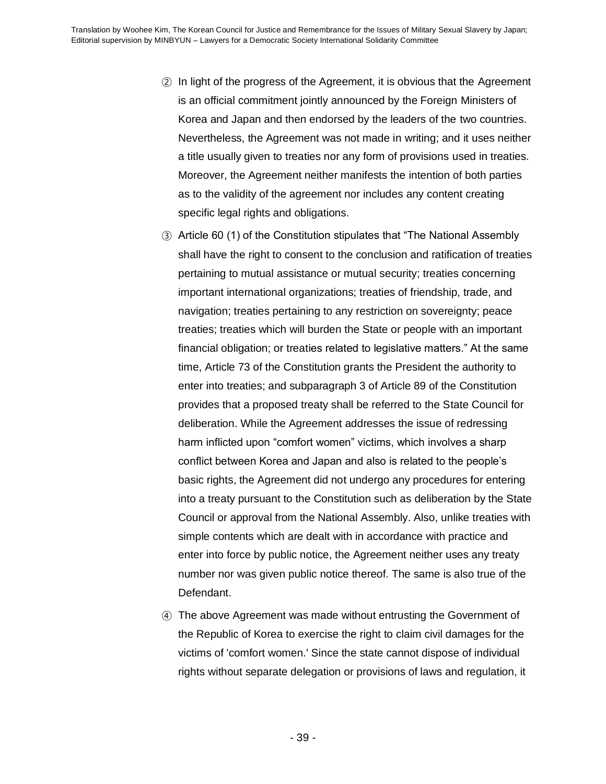- ② In light of the progress of the Agreement, it is obvious that the Agreement is an official commitment jointly announced by the Foreign Ministers of Korea and Japan and then endorsed by the leaders of the two countries. Nevertheless, the Agreement was not made in writing; and it uses neither a title usually given to treaties nor any form of provisions used in treaties. Moreover, the Agreement neither manifests the intention of both parties as to the validity of the agreement nor includes any content creating specific legal rights and obligations.
- ③ Article 60 (1) of the Constitution stipulates that "The National Assembly shall have the right to consent to the conclusion and ratification of treaties pertaining to mutual assistance or mutual security; treaties concerning important international organizations; treaties of friendship, trade, and navigation; treaties pertaining to any restriction on sovereignty; peace treaties; treaties which will burden the State or people with an important financial obligation; or treaties related to legislative matters." At the same time, Article 73 of the Constitution grants the President the authority to enter into treaties; and subparagraph 3 of Article 89 of the Constitution provides that a proposed treaty shall be referred to the State Council for deliberation. While the Agreement addresses the issue of redressing harm inflicted upon "comfort women" victims, which involves a sharp conflict between Korea and Japan and also is related to the people's basic rights, the Agreement did not undergo any procedures for entering into a treaty pursuant to the Constitution such as deliberation by the State Council or approval from the National Assembly. Also, unlike treaties with simple contents which are dealt with in accordance with practice and enter into force by public notice, the Agreement neither uses any treaty number nor was given public notice thereof. The same is also true of the Defendant.
- ④ The above Agreement was made without entrusting the Government of the Republic of Korea to exercise the right to claim civil damages for the victims of 'comfort women.' Since the state cannot dispose of individual rights without separate delegation or provisions of laws and regulation, it